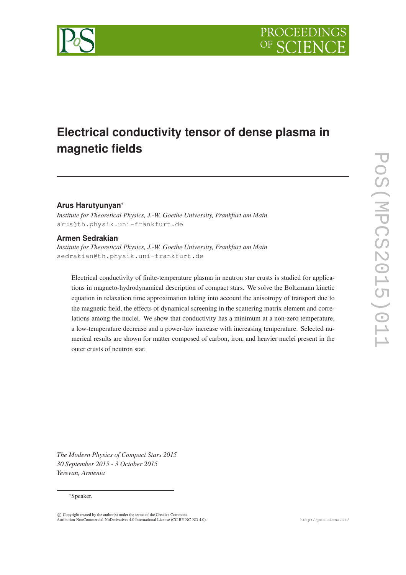

# **Electrical conductivity tensor of dense plasma in magnetic fields**

#### **Arus Harutyunyan**∗

*Institute for Theoretical Physics, J.-W. Goethe University, Frankfurt am Main* arus@th.physik.uni-frankfurt.de

#### **Armen Sedrakian**

*Institute for Theoretical Physics, J.-W. Goethe University, Frankfurt am Main* sedrakian@th.physik.uni-frankfurt.de

Electrical conductivity of finite-temperature plasma in neutron star crusts is studied for applications in magneto-hydrodynamical description of compact stars. We solve the Boltzmann kinetic equation in relaxation time approximation taking into account the anisotropy of transport due to the magnetic field, the effects of dynamical screening in the scattering matrix element and correlations among the nuclei. We show that conductivity has a minimum at a non-zero temperature, a low-temperature decrease and a power-law increase with increasing temperature. Selected numerical results are shown for matter composed of carbon, iron, and heavier nuclei present in the outer crusts of neutron star.

*The Modern Physics of Compact Stars 2015 30 September 2015 - 3 October 2015 Yerevan, Armenia*

#### ∗Speaker.

 $\overline{c}$  Copyright owned by the author(s) under the terms of the Creative Commons Attribution-NonCommercial-NoDerivatives 4.0 International License (CC BY-NC-ND 4.0). http://pos.sissa.it/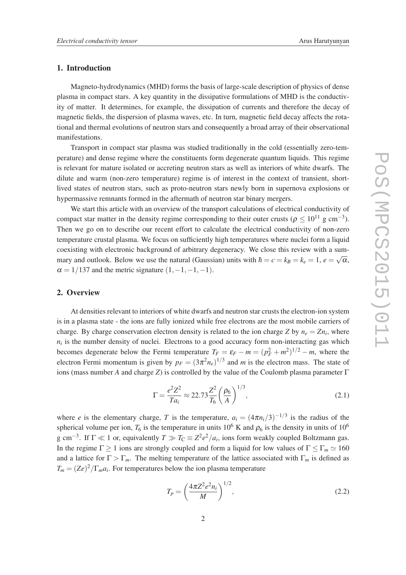#### 1. Introduction

Magneto-hydrodynamics (MHD) forms the basis of large-scale description of physics of dense plasma in compact stars. A key quantity in the dissipative formulations of MHD is the conductivity of matter. It determines, for example, the dissipation of currents and therefore the decay of magnetic fields, the dispersion of plasma waves, etc. In turn, magnetic field decay affects the rotational and thermal evolutions of neutron stars and consequently a broad array of their observational manifestations.

Transport in compact star plasma was studied traditionally in the cold (essentially zero-temperature) and dense regime where the constituents form degenerate quantum liquids. This regime is relevant for mature isolated or accreting neutron stars as well as interiors of white dwarfs. The dilute and warm (non-zero temperature) regime is of interest in the context of transient, shortlived states of neutron stars, such as proto-neutron stars newly born in supernova explosions or hypermassive remnants formed in the aftermath of neutron star binary mergers.

We start this article with an overview of the transport calculations of electrical conductivity of compact star matter in the density regime corresponding to their outer crusts ( $\rho \le 10^{11}$  g cm<sup>-3</sup>). Then we go on to describe our recent effort to calculate the electrical conductivity of non-zero temperature crustal plasma. We focus on sufficiently high temperatures where nuclei form a liquid coexisting with electronic background of arbitrary degeneracy. We close this review with a summary and outlook. Below we use the natural (Gaussian) units with  $\hbar = c = k_B = k_e = 1$ ,  $e = \sqrt{\alpha}$ ,  $\alpha = 1/137$  and the metric signature  $(1, -1, -1, -1)$ .

#### 2. Overview

At densities relevant to interiors of white dwarfs and neutron star crusts the electron-ion system is in a plasma state - the ions are fully ionized while free electrons are the most mobile carriers of charge. By charge conservation electron density is related to the ion charge *Z* by  $n_e = Zn_i$ , where  $n_i$  is the number density of nuclei. Electrons to a good accuracy form non-interacting gas which becomes degenerate below the Fermi temperature  $T_F = \varepsilon_F - m = (p_F^2 + m^2)^{1/2} - m$ , where the electron Fermi momentum is given by  $p_F = (3\pi^2 n_e)^{1/3}$  and *m* is the electron mass. The state of ions (mass number *A* and charge *Z*) is controlled by the value of the Coulomb plasma parameter Γ

$$
\Gamma = \frac{e^2 Z^2}{T a_i} \approx 22.73 \frac{Z^2}{T_6} \left(\frac{\rho_6}{A}\right)^{1/3},\tag{2.1}
$$

where *e* is the elementary charge, *T* is the temperature,  $a_i = (4\pi n_i/3)^{-1/3}$  is the radius of the spherical volume per ion,  $T_6$  is the temperature in units 10<sup>6</sup> K and  $\rho_6$  is the density in units of 10<sup>6</sup> g cm<sup>-3</sup>. If  $\Gamma \ll 1$  or, equivalently  $T \gg T_{\rm C} \equiv Z^2 e^2/a_i$ , ions form weakly coupled Boltzmann gas. In the regime  $\Gamma \ge 1$  ions are strongly coupled and form a liquid for low values of  $\Gamma \le \Gamma_m \simeq 160$ and a lattice for  $\Gamma > \Gamma_m$ . The melting temperature of the lattice associated with  $\Gamma_m$  is defined as  $T_m = (Ze)^2 / \Gamma_m a_i$ . For temperatures below the ion plasma temperature

$$
T_p = \left(\frac{4\pi Z^2 e^2 n_i}{M}\right)^{1/2},\tag{2.2}
$$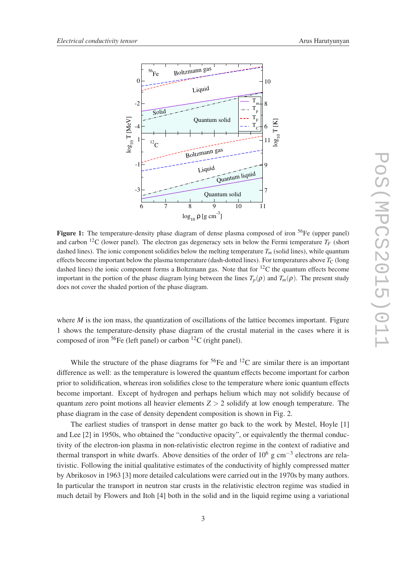

Figure 1: The temperature-density phase diagram of dense plasma composed of iron  ${}^{56}Fe$  (upper panel) and carbon <sup>12</sup>C (lower panel). The electron gas degeneracy sets in below the Fermi temperature  $T_F$  (short dashed lines). The ionic component solidifies below the melting temperature  $T<sub>m</sub>$  (solid lines), while quantum effects become important below the plasma temperature (dash-dotted lines). For temperatures above  $T_c$  (long dashed lines) the ionic component forms a Boltzmann gas. Note that for  ${}^{12}C$  the quantum effects become important in the portion of the phase diagram lying between the lines  $T_p(\rho)$  and  $T_m(\rho)$ . The present study does not cover the shaded portion of the phase diagram.

where *M* is the ion mass, the quantization of oscillations of the lattice becomes important. Figure 1 shows the temperature-density phase diagram of the crustal material in the cases where it is composed of iron  ${}^{56}Fe$  (left panel) or carbon  ${}^{12}C$  (right panel).

While the structure of the phase diagrams for  ${}^{56}Fe$  and  ${}^{12}C$  are similar there is an important difference as well: as the temperature is lowered the quantum effects become important for carbon prior to solidification, whereas iron solidifies close to the temperature where ionic quantum effects become important. Except of hydrogen and perhaps helium which may not solidify because of quantum zero point motions all heavier elements  $Z > 2$  solidify at low enough temperature. The phase diagram in the case of density dependent composition is shown in Fig. 2.

The earliest studies of transport in dense matter go back to the work by Mestel, Hoyle [1] and Lee [2] in 1950s, who obtained the "conductive opacity", or equivalently the thermal conductivity of the electron-ion plasma in non-relativistic electron regime in the context of radiative and thermal transport in white dwarfs. Above densities of the order of  $10^6$  g cm<sup>-3</sup> electrons are relativistic. Following the initial qualitative estimates of the conductivity of highly compressed matter by Abrikosov in 1963 [3] more detailed calculations were carried out in the 1970s by many authors. In particular the transport in neutron star crusts in the relativistic electron regime was studied in much detail by Flowers and Itoh [4] both in the solid and in the liquid regime using a variational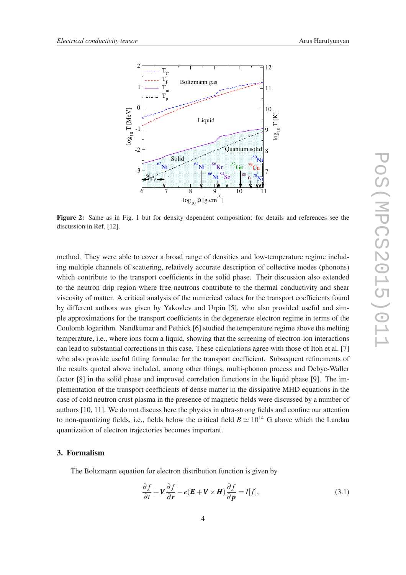

Figure 2: Same as in Fig. 1 but for density dependent composition; for details and references see the discussion in Ref. [12].

method. They were able to cover a broad range of densities and low-temperature regime including multiple channels of scattering, relatively accurate description of collective modes (phonons) which contribute to the transport coefficients in the solid phase. Their discussion also extended to the neutron drip region where free neutrons contribute to the thermal conductivity and shear viscosity of matter. A critical analysis of the numerical values for the transport coefficients found by different authors was given by Yakovlev and Urpin [5], who also provided useful and simple approximations for the transport coefficients in the degenerate electron regime in terms of the Coulomb logarithm. Nandkumar and Pethick [6] studied the temperature regime above the melting temperature, i.e., where ions form a liquid, showing that the screening of electron-ion interactions can lead to substantial corrections in this case. These calculations agree with those of Itoh et al. [7] who also provide useful fitting formulae for the transport coefficient. Subsequent refinements of the results quoted above included, among other things, multi-phonon process and Debye-Waller factor [8] in the solid phase and improved correlation functions in the liquid phase [9]. The implementation of the transport coefficients of dense matter in the dissipative MHD equations in the case of cold neutron crust plasma in the presence of magnetic fields were discussed by a number of authors [10, 11]. We do not discuss here the physics in ultra-strong fields and confine our attention to non-quantizing fields, i.e., fields below the critical field  $B \simeq 10^{14}$  G above which the Landau quantization of electron trajectories becomes important.

#### 3. Formalism

The Boltzmann equation for electron distribution function is given by

$$
\frac{\partial f}{\partial t} + \mathbf{V} \frac{\partial f}{\partial \mathbf{r}} - e(\mathbf{E} + \mathbf{V} \times \mathbf{H}) \frac{\partial f}{\partial \mathbf{p}} = I[f],
$$
\n(3.1)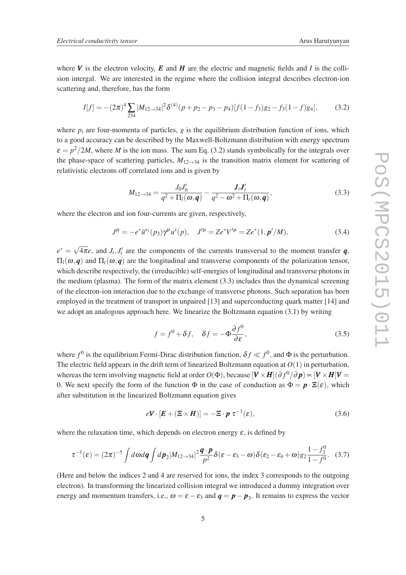where  $V$  is the electron velocity,  $E$  and  $H$  are the electric and magnetic fields and  $I$  is the collision intergal. We are interested in the regime where the collision integral describes electron-ion scattering and, therefore, has the form

$$
I[f] = -(2\pi)^4 \sum_{234} |M_{12 \to 34}|^2 \delta^{(4)}(p + p_2 - p_3 - p_4)[f(1 - f_3)g_2 - f_3(1 - f)g_4], \tag{3.2}
$$

where  $p_i$  are four-momenta of particles,  $g$  is the equilibrium distribution function of ions, which to a good accuracy can be described by the Maxwell-Boltzmann distribution with energy spectrum  $\varepsilon = p^2/2M$ , where *M* is the ion mass. The sum Eq. (3.2) stands symbolically for the integrals over the phase-space of scattering particles,  $M_{12\rightarrow 34}$  is the transition matrix element for scattering of relativistic electrons off correlated ions and is given by

$$
M_{12 \to 34} = \frac{J_0 J_0'}{q^2 + \Pi_l(\omega, \bm{q})} - \frac{\bm{J}_l \bm{J}_l'}{q^2 - \omega^2 + \Pi_l(\omega, \bm{q})},
$$
(3.3)

where the electron and ion four-currents are given, respectively,

$$
J^{\mu} = -e^* \bar{u}^{s_3}(p_3) \gamma^{\mu} u^{s}(p), \quad J^{\prime \mu} = Ze^* V^{\prime \mu} = Ze^*(1, p^{\prime}/M), \tag{3.4}
$$

 $e^* = \sqrt{4\pi}e$ , and *J<sub>t</sub>*, *J'<sub>t</sub>* are the components of the currents transversal to the moment transfer *q*, Π*l*(ω,*q*) and Π*t*(ω,*q*) are the longitudinal and transverse components of the polarization tensor, which describe respectively, the (irreducible) self-energies of longitudinal and transverse photons in the medium (plasma). The form of the matrix element  $(3.3)$  includes thus the dynamical screening of the electron-ion interaction due to the exchange of transverse photons. Such separation has been employed in the treatment of transport in unpaired [13] and superconducting quark matter [14] and we adopt an analogous approach here. We linearize the Boltzmann equation (3.1) by writing

$$
f = f^{0} + \delta f, \quad \delta f = -\Phi \frac{\partial f^{0}}{\partial \varepsilon},
$$
\n(3.5)

where  $f^0$  is the equilibrium Fermi-Dirac distribution function,  $\delta f \ll f^0$ , and  $\Phi$  is the perturbation. The electric field appears in the drift term of linearized Boltzmann equation at *O*(1) in perturbation, whereas the term involving magnetic field at order  $O(\Phi)$ , because  $[\bm{V} \times \bm{H}](\partial f^0/\partial \bm{p}) \propto [\bm{V} \times \bm{H}]\bm{V} =$ 0. We next specify the form of the function  $\Phi$  in the case of conduction as  $\Phi = \mathbf{p} \cdot \mathbf{E}(\mathbf{\varepsilon})$ , which after substitution in the linearized Boltzmann equation gives

$$
eV \cdot [E + (\Xi \times H)] = -\Xi \cdot p \ \tau^{-1}(\varepsilon), \tag{3.6}
$$

where the relaxation time, which depends on electron energy  $\varepsilon$ , is defined by

$$
\tau^{-1}(\varepsilon) = (2\pi)^{-5} \int d\omega d\mathbf{q} \int d\mathbf{p}_2 |M_{12\to 34}|^2 \frac{\mathbf{q} \cdot \mathbf{p}}{p^2} \delta(\varepsilon - \varepsilon_3 - \omega) \delta(\varepsilon_2 - \varepsilon_4 + \omega) g_2 \frac{1 - f_3^0}{1 - f_0^0}.
$$
 (3.7)

(Here and below the indices 2 and 4 are reserved for ions, the index 3 corresponds to the outgoing electron). In transforming the linearized collision integral we introduced a dummy integration over energy and momentum transfers, i.e.,  $\omega = \varepsilon - \varepsilon_3$  and  $\mathbf{q} = \mathbf{p} - \mathbf{p}_3$ . It remains to express the vector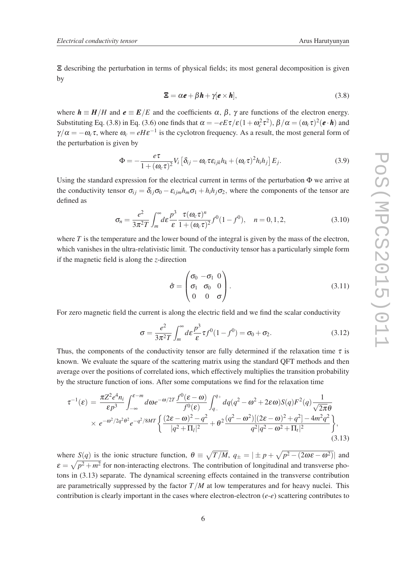Ξ describing the perturbation in terms of physical fields; its most general decomposition is given by

$$
\mathbf{\Xi} = \alpha \mathbf{e} + \beta \mathbf{h} + \gamma [\mathbf{e} \times \mathbf{h}], \tag{3.8}
$$

where  $h \equiv H/H$  and  $e \equiv E/E$  and the coefficients  $\alpha$ ,  $\beta$ ,  $\gamma$  are functions of the electron energy. Substituting Eq. (3.8) in Eq. (3.6) one finds that  $\alpha = -eE\tau/\varepsilon(1+\omega_c^2\tau^2)$ ,  $\beta/\alpha = (\omega_c\tau)^2(e\cdot h)$  and  $\gamma/\alpha = -\omega_c \tau$ , where  $\omega_c = eH\epsilon^{-1}$  is the cyclotron frequency. As a result, the most general form of the perturbation is given by

$$
\Phi = -\frac{e\tau}{1 + (\omega_c \tau)^2} V_i \left[ \delta_{ij} - \omega_c \tau \varepsilon_{ijk} h_k + (\omega_c \tau)^2 h_i h_j \right] E_j.
$$
\n(3.9)

Using the standard expression for the electrical current in terms of the perturbation  $\Phi$  we arrive at the conductivity tensor  $\sigma_{ij} = \delta_{ij}\sigma_0 - \varepsilon_{ijm}h_m\sigma_1 + h_ih_j\sigma_2$ , where the components of the tensor are defined as

$$
\sigma_n = \frac{e^2}{3\pi^2 T} \int_m^{\infty} d\varepsilon \frac{p^3}{\varepsilon} \frac{\tau(\omega_c \tau)^n}{1 + (\omega_c \tau)^2} f^0(1 - f^0), \quad n = 0, 1, 2,
$$
\n(3.10)

where *T* is the temperature and the lower bound of the integral is given by the mass of the electron, which vanishes in the ultra-relativistic limit. The conductivity tensor has a particularly simple form if the magnetic field is along the *z*-direction

$$
\hat{\sigma} = \begin{pmatrix} \sigma_0 & -\sigma_1 & 0 \\ \sigma_1 & \sigma_0 & 0 \\ 0 & 0 & \sigma \end{pmatrix} . \tag{3.11}
$$

For zero magnetic field the current is along the electric field and we find the scalar conductivity

$$
\sigma = \frac{e^2}{3\pi^2 T} \int_m^\infty d\varepsilon \frac{p^3}{\varepsilon} \tau f^0 (1 - f^0) = \sigma_0 + \sigma_2.
$$
 (3.12)

Thus, the components of the conductivity tensor are fully determined if the relaxation time  $\tau$  is known. We evaluate the square of the scattering matrix using the standard QFT methods and then average over the positions of correlated ions, which effectively multiplies the transition probability by the structure function of ions. After some computations we find for the relaxation time

$$
\tau^{-1}(\varepsilon) = \frac{\pi Z^2 e^4 n_i}{\varepsilon p^3} \int_{-\infty}^{\varepsilon - m} d\omega e^{-\omega/2T} \frac{f^0(\varepsilon - \omega)}{f^0(\varepsilon)} \int_{q_-}^{q_+} dq (q^2 - \omega^2 + 2\varepsilon\omega) S(q) F^2(q) \frac{1}{\sqrt{2\pi\theta}} \times e^{-\omega^2/2q^2\theta^2} e^{-q^2/8MT} \Big\{ \frac{(2\varepsilon - \omega)^2 - q^2}{|q^2 + \Pi_l|^2} + \theta^2 \frac{(q^2 - \omega^2)[(2\varepsilon - \omega)^2 + q^2] - 4m^2q^2}{q^2|q^2 - \omega^2 + \Pi_l|^2} \Big\},
$$
\n(3.13)

where  $S(q)$  is the ionic structure function,  $\theta \equiv \sqrt{T/M}$ ,  $q_{\pm} = |\pm p + \sqrt{p^2 - (2\omega \epsilon - \omega^2)}|$  and  $\varepsilon = \sqrt{p^2 + m^2}$  for non-interacting electrons. The contribution of longitudinal and transverse photons in (3.13) separate. The dynamical screening effects contained in the transverse contribution are parametrically suppressed by the factor *T*/*M* at low temperatures and for heavy nuclei. This contribution is clearly important in the cases where electron-electron (*e*-*e*) scattering contributes to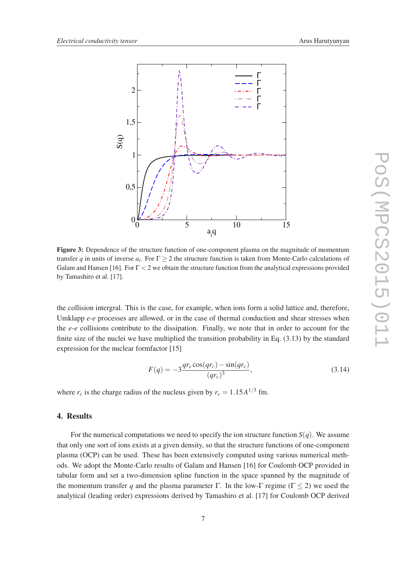

Figure 3: Dependence of the structure function of one-component plasma on the magnitude of momentum transfer *q* in units of inverse  $a_i$ . For  $\Gamma \geq 2$  the structure function is taken from Monte-Carlo calculations of Galam and Hansen [16]. For  $\Gamma < 2$  we obtain the structure function from the analytical expressions provided by Tamashiro et al. [17].

the collision intergral. This is the case, for example, when ions form a solid lattice and, therefore, Umklapp *e-e* processes are allowed, or in the case of thermal conduction and shear stresses when the *e-e* collisions contribute to the dissipation. Finally, we note that in order to account for the finite size of the nuclei we have multiplied the transition probability in Eq. (3.13) by the standard expression for the nuclear formfactor [15]

$$
F(q) = -3 \frac{qr_c \cos(qr_c) - \sin(qr_c)}{(qr_c)^3},
$$
\n(3.14)

where  $r_c$  is the charge radius of the nucleus given by  $r_c = 1.15A^{1/3}$  fm.

#### 4. Results

For the numerical computations we need to specify the ion structure function  $S(q)$ . We assume that only one sort of ions exists at a given density, so that the structure functions of one-component plasma (OCP) can be used. These has been extensively computed using various numerical methods. We adopt the Monte-Carlo results of Galam and Hansen [16] for Coulomb OCP provided in tabular form and set a two-dimension spline function in the space spanned by the magnitude of the momentum transfer q and the plasma parameter Γ. In the low-Γ regime ( $\Gamma$  < 2) we used the analytical (leading order) expressions derived by Tamashiro et al. [17] for Coulomb OCP derived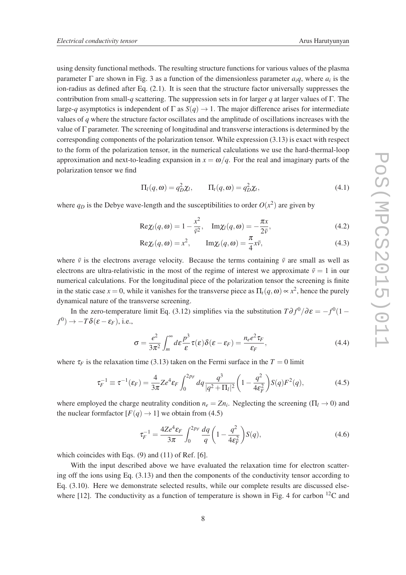using density functional methods. The resulting structure functions for various values of the plasma parameter  $\Gamma$  are shown in Fig. 3 as a function of the dimensionless parameter  $a_i q$ , where  $a_i$  is the ion-radius as defined after Eq. (2.1). It is seen that the structure factor universally suppresses the contribution from small-*q* scattering. The suppression sets in for larger *q* at larger values of Γ. The large-*q* asymptotics is independent of  $\Gamma$  as  $S(q) \to 1$ . The major difference arises for intermediate values of *q* where the structure factor oscillates and the amplitude of oscillations increases with the value of Γ parameter. The screening of longitudinal and transverse interactions is determined by the corresponding components of the polarization tensor. While expression (3.13) is exact with respect to the form of the polarization tensor, in the numerical calculations we use the hard-thermal-loop approximation and next-to-leading expansion in  $x = \omega/q$ . For the real and imaginary parts of the polarization tensor we find

$$
\Pi_t(q,\omega) = q_D^2 \chi_t, \qquad \Pi_t(q,\omega) = q_D^2 \chi_t,
$$
\n(4.1)

where  $q_D$  is the Debye wave-length and the susceptibilities to order  $O(x^2)$  are given by

$$
\text{Re}\chi_l(q,\omega) = 1 - \frac{x^2}{\bar{v}^2}, \quad \text{Im}\chi_l(q,\omega) = -\frac{\pi x}{2\bar{v}},\tag{4.2}
$$

$$
\text{Re}\chi_t(q,\omega) = x^2, \qquad \text{Im}\chi_t(q,\omega) = \frac{\pi}{4}x\bar{v},\tag{4.3}
$$

where  $\bar{v}$  is the electrons average velocity. Because the terms containing  $\bar{v}$  are small as well as electrons are ultra-relativistic in the most of the regime of interest we approximate  $\bar{v} = 1$  in our numerical calculations. For the longitudinal piece of the polarization tensor the screening is finite in the static case  $x = 0$ , while it vanishes for the transverse piece as  $\Pi_t(q, \omega) \propto x^2$ , hence the purely dynamical nature of the transverse screening.

In the zero-temperature limit Eq. (3.12) simplifies via the substitution  $T\partial f^0/\partial \varepsilon = -f^0(1$  $f^0$ )  $\rightarrow -T\delta(\varepsilon - \varepsilon_F)$ , i.e.,

$$
\sigma = \frac{e^2}{3\pi^2} \int_m^\infty d\varepsilon \frac{p^3}{\varepsilon} \tau(\varepsilon) \delta(\varepsilon - \varepsilon_F) = \frac{n_e e^2 \tau_F}{\varepsilon_F},\tag{4.4}
$$

where  $\tau_F$  is the relaxation time (3.13) taken on the Fermi surface in the  $T = 0$  limit

$$
\tau_F^{-1} \equiv \tau^{-1}(\varepsilon_F) = \frac{4}{3\pi} Z e^4 \varepsilon_F \int_0^{2p_F} dq \frac{q^3}{|q^2 + \Pi_l|^2} \left(1 - \frac{q^2}{4\varepsilon_F^2}\right) S(q) F^2(q),\tag{4.5}
$$

where employed the charge neutrality condition  $n_e = Zn_i$ . Neglecting the screening ( $\Pi_l \rightarrow 0$ ) and the nuclear formfactor  $[F(q) \rightarrow 1]$  we obtain from (4.5)

$$
\tau_F^{-1} = \frac{4Ze^4 \varepsilon_F}{3\pi} \int_0^{2p_F} \frac{dq}{q} \left(1 - \frac{q^2}{4\varepsilon_F^2}\right) S(q),\tag{4.6}
$$

which coincides with Eqs. (9) and (11) of Ref. [6].

With the input described above we have evaluated the relaxation time for electron scattering off the ions using Eq. (3.13) and then the components of the conductivity tensor according to Eq. (3.10). Here we demonstrate selected results, while our complete results are discussed elsewhere [12]. The conductivity as a function of temperature is shown in Fig. 4 for carbon  $^{12}C$  and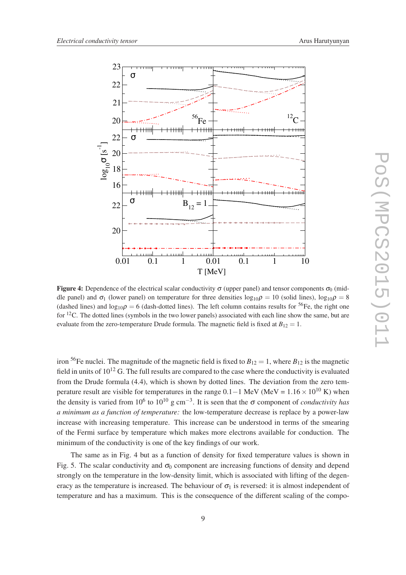

**Figure 4:** Dependence of the electrical scalar conductivity  $\sigma$  (upper panel) and tensor components  $\sigma_0$  (middle panel) and  $\sigma_1$  (lower panel) on temperature for three densities  $\log_{10}\rho = 10$  (solid lines),  $\log_{10}\rho = 8$ (dashed lines) and  $\log_{10} \rho = 6$  (dash-dotted lines). The left column contains results for <sup>56</sup>Fe, the right one for  ${}^{12}$ C. The dotted lines (symbols in the two lower panels) associated with each line show the same, but are evaluate from the zero-temperature Drude formula. The magnetic field is fixed at  $B_{12} = 1$ .

iron <sup>56</sup>Fe nuclei. The magnitude of the magnetic field is fixed to  $B_{12} = 1$ , where  $B_{12}$  is the magnetic field in units of  $10^{12}$  G. The full results are compared to the case where the conductivity is evaluated from the Drude formula (4.4), which is shown by dotted lines. The deviation from the zero temperature result are visible for temperatures in the range  $0.1-1$  MeV (MeV =  $1.16 \times 10^{10}$  K) when the density is varied from 10<sup>6</sup> to 10<sup>10</sup> g cm<sup>-3</sup>. It is seen that the  $\sigma$  component of *conductivity has a minimum as a function of temperature:* the low-temperature decrease is replace by a power-law increase with increasing temperature. This increase can be understood in terms of the smearing of the Fermi surface by temperature which makes more electrons available for conduction. The minimum of the conductivity is one of the key findings of our work.

The same as in Fig. 4 but as a function of density for fixed temperature values is shown in Fig. 5. The scalar conductivity and  $\sigma_0$  component are increasing functions of density and depend strongly on the temperature in the low-density limit, which is associated with lifting of the degeneracy as the temperature is increased. The behaviour of  $\sigma_1$  is reversed: it is almost independent of temperature and has a maximum. This is the consequence of the different scaling of the compo-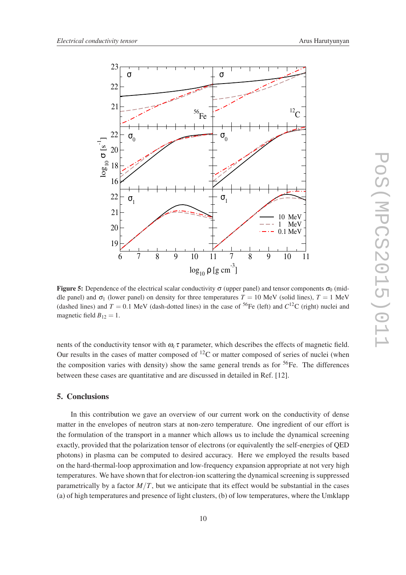

**Figure 5:** Dependence of the electrical scalar conductivity  $\sigma$  (upper panel) and tensor components  $\sigma_0$  (middle panel) and  $\sigma_1$  (lower panel) on density for three temperatures  $T = 10$  MeV (solid lines),  $T = 1$  MeV (dashed lines) and  $T = 0.1$  MeV (dash-dotted lines) in the case of <sup>56</sup>Fe (left) and  $C^{12}$ C (right) nuclei and magnetic field  $B_{12} = 1$ .

nents of the conductivity tensor with  $\omega_c \tau$  parameter, which describes the effects of magnetic field. Our results in the cases of matter composed of  ${}^{12}C$  or matter composed of series of nuclei (when the composition varies with density) show the same general trends as for  ${}^{56}Fe$ . The differences between these cases are quantitative and are discussed in detailed in Ref. [12].

#### 5. Conclusions

In this contribution we gave an overview of our current work on the conductivity of dense matter in the envelopes of neutron stars at non-zero temperature. One ingredient of our effort is the formulation of the transport in a manner which allows us to include the dynamical screening exactly, provided that the polarization tensor of electrons (or equivalently the self-energies of QED photons) in plasma can be computed to desired accuracy. Here we employed the results based on the hard-thermal-loop approximation and low-frequency expansion appropriate at not very high temperatures. We have shown that for electron-ion scattering the dynamical screening is suppressed parametrically by a factor  $M/T$ , but we anticipate that its effect would be substantial in the cases (a) of high temperatures and presence of light clusters, (b) of low temperatures, where the Umklapp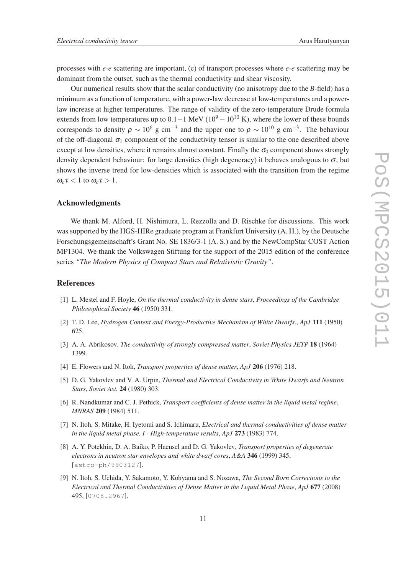processes with *e*-*e* scattering are important, (c) of transport processes where *e*-*e* scattering may be dominant from the outset, such as the thermal conductivity and shear viscosity.

Our numerical results show that the scalar conductivity (no anisotropy due to the *B*-field) has a minimum as a function of temperature, with a power-law decrease at low-temperatures and a powerlaw increase at higher temperatures. The range of validity of the zero-temperature Drude formula extends from low temperatures up to  $0.1-1$  MeV ( $10^9 - 10^{10}$  K), where the lower of these bounds corresponds to density  $\rho \sim 10^6$  g cm<sup>-3</sup> and the upper one to  $\rho \sim 10^{10}$  g cm<sup>-3</sup>. The behaviour of the off-diagonal  $\sigma_1$  component of the conductivity tensor is similar to the one described above except at low densities, where it remains almost constant. Finally the  $\sigma_0$  component shows strongly density dependent behaviour: for large densities (high degeneracy) it behaves analogous to  $\sigma$ , but shows the inverse trend for low-densities which is associated with the transition from the regime  $\omega_c \tau$  < 1 to  $\omega_c \tau > 1$ .

#### Acknowledgments

We thank M. Alford, H. Nishimura, L. Rezzolla and D. Rischke for discussions. This work was supported by the HGS-HIRe graduate program at Frankfurt University (A. H.), by the Deutsche Forschungsgemeinschaft's Grant No. SE 1836/3-1 (A. S.) and by the NewCompStar COST Action MP1304. We thank the Volkswagen Stiftung for the support of the 2015 edition of the conference series *"The Modern Physics of Compact Stars and Relativistic Gravity"*.

#### **References**

- [1] L. Mestel and F. Hoyle, *On the thermal conductivity in dense stars*, *Proceedings of the Cambridge Philosophical Society* 46 (1950) 331.
- [2] T. D. Lee, *Hydrogen Content and Energy-Productive Mechanism of White Dwarfs.*, *ApJ* 111 (1950) 625.
- [3] A. A. Abrikosov, *The conductivity of strongly compressed matter*, *Soviet Physics JETP* 18 (1964) 1399.
- [4] E. Flowers and N. Itoh, *Transport properties of dense matter*, *ApJ* 206 (1976) 218.
- [5] D. G. Yakovlev and V. A. Urpin, *Thermal and Electrical Conductivity in White Dwarfs and Neutron Stars*, *Soviet Ast.* 24 (1980) 303.
- [6] R. Nandkumar and C. J. Pethick, *Transport coefficients of dense matter in the liquid metal regime*, *MNRAS* 209 (1984) 511.
- [7] N. Itoh, S. Mitake, H. Iyetomi and S. Ichimaru, *Electrical and thermal conductivities of dense matter in the liquid metal phase. I - High-temperature results*, *ApJ* 273 (1983) 774.
- [8] A. Y. Potekhin, D. A. Baiko, P. Haensel and D. G. Yakovlev, *Transport properties of degenerate electrons in neutron star envelopes and white dwarf cores*, *A&A* 346 (1999) 345, [astro-ph/9903127].
- [9] N. Itoh, S. Uchida, Y. Sakamoto, Y. Kohyama and S. Nozawa, *The Second Born Corrections to the Electrical and Thermal Conductivities of Dense Matter in the Liquid Metal Phase*, *ApJ* 677 (2008) 495, [0708.2967].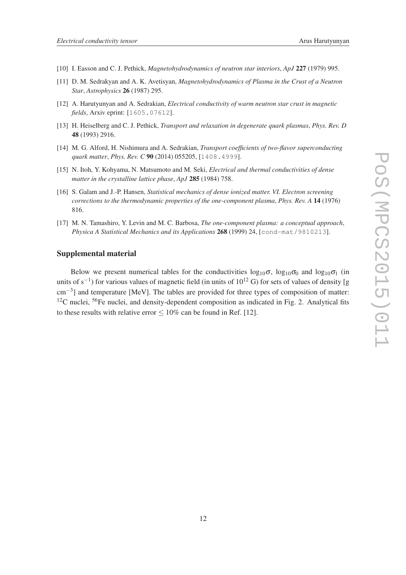- [10] I. Easson and C. J. Pethick, *Magnetohydrodynamics of neutron star interiors*, *ApJ* 227 (1979) 995.
- [11] D. M. Sedrakyan and A. K. Avetisyan, *Magnetohydrodynamics of Plasma in the Crust of a Neutron Star*, *Astrophysics* 26 (1987) 295.
- [12] A. Harutyunyan and A. Sedrakian, *Electrical conductivity of warm neutron star crust in magnetic fields*, Arxiv eprint: [1605.07612].
- [13] H. Heiselberg and C. J. Pethick, *Transport and relaxation in degenerate quark plasmas*, *Phys. Rev. D* 48 (1993) 2916.
- [14] M. G. Alford, H. Nishimura and A. Sedrakian, *Transport coefficients of two-flavor superconducting quark matter*, *Phys. Rev. C* 90 (2014) 055205, [1408.4999].
- [15] N. Itoh, Y. Kohyama, N. Matsumoto and M. Seki, *Electrical and thermal conductivities of dense matter in the crystalline lattice phase*, *ApJ* 285 (1984) 758.
- [16] S. Galam and J.-P. Hansen, *Statistical mechanics of dense ionized matter. VI. Electron screening corrections to the thermodynamic properties of the one-component plasma*, *Phys. Rev. A* 14 (1976) 816.
- [17] M. N. Tamashiro, Y. Levin and M. C. Barbosa, *The one-component plasma: a conceptual approach*, *Physica A Statistical Mechanics and its Applications* 268 (1999) 24, [cond-mat/9810213].

#### Supplemental material

Below we present numerical tables for the conductivities  $\log_{10} \sigma_1$ ,  $\log_{10} \sigma_0$  and  $\log_{10} \sigma_1$  (in units of s<sup>-1</sup>) for various values of magnetic field (in units of 10<sup>12</sup> G) for sets of values of density [g cm<sup>-3</sup>] and temperature [MeV]. The tables are provided for three types of composition of matter:  $12C$  nuclei,  $56Fe$  nuclei, and density-dependent composition as indicated in Fig. 2. Analytical fits to these results with relative error  $\leq 10\%$  can be found in Ref. [12].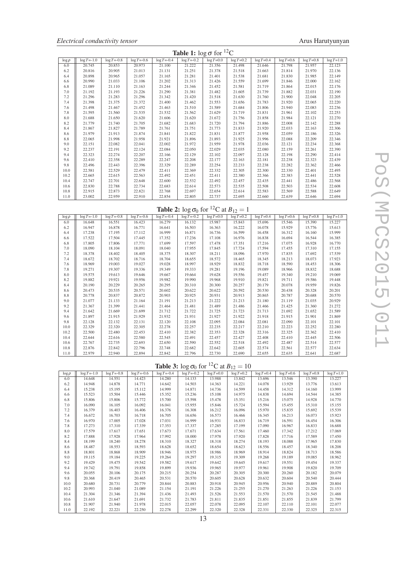| <b>Table 1:</b> $\log \sigma$ for <sup>12</sup> C |                 |                 |                 |                 |                 |               |               |               |                |               |                |  |
|---------------------------------------------------|-----------------|-----------------|-----------------|-----------------|-----------------|---------------|---------------|---------------|----------------|---------------|----------------|--|
| $\log \rho$                                       | $\log T = -1.0$ | $\log T = -0.8$ | $\log T = -0.6$ | $\log T = -0.4$ | $\log T = -0.2$ | $log T = 0.0$ | $log T = 0.2$ | $log T = 0.4$ | $\log T = 0.6$ | $log T = 0.8$ | $\log T = 1.0$ |  |
| 6.0                                               | 20.745          | 20.853          | 20.973          | 21.100          | 21.222          | 21.356        | 21.498        | 21.646        | 21.798         | 21.957        | 22.123         |  |
| 6.2                                               | 20.816          | 20.905          | 21.013          | 21.131          | 21.251          | 21.378        | 21.518        | 21.663        | 21.814         | 21.970        | 22.136         |  |
| 6.4                                               | 20.898          | 20.965          | 21.057          | 21.165          | 21.281          | 21.401        | 21.538        | 21.681        | 21.830         | 21.985        | 22.149         |  |
| 6.6                                               | 20.990          | 21.033          | 21.106          | 21.202          | 21.313          | 21.426        | 21.559        | 21.699        | 21.846         | 22.000        | 22.162         |  |
| 6.8                                               | 21.089          | 21.110          | 21.163          | 21.244          | 21.346          | 21.452        | 21.581        | 21.719        | 21.864         | 22.015        | 22.176         |  |
| 7.0                                               | 21.192          | 21.193          | 21.226          | 21.290          | 21.381          | 21.482        | 21.605        | 21.739        | 21.882         | 22.031        | 22.190         |  |
| 7.2                                               | 21.296          | 21.283          | 21.296          | 21.342          | 21.420          | 21.518        | 21.630        | 21.760        | 21.900         | 22.048        | 22.205         |  |
| 7.4                                               | 21.398          | 21.375          | 21.372          | 21.400          | 21.462          | 21.553        | 21.656        | 21.783        | 21.920         | 22.065        | 22.220         |  |
| 7.6                                               | 21.498          | 21.467          | 21.452          | 21.463          | 21.510          | 21.589        | 21.684        | 21.806        | 21.940         | 22.083        | 22.236         |  |
| 7.8                                               | 21.595          | 21.560          | 21.535          | 21.532          | 21.562          | 21.629        | 21.719        | 21.831        | 21.961         | 22.102        | 22.253         |  |
| 8.0                                               | 21.688          | 21.650          | 21.620          | 21.606          | 21.620          | 21.672        | 21.756        | 21.858        | 21.984         | 22.121        | 22.270         |  |
| 8.2                                               | 21.779          | 21.740          | 21.705          | 21.682          | 21.683          | 21.720        | 21.794        | 21.886        | 22.008         | 22.142        | 22.288         |  |
| 8.4                                               | 21.867          | 21.827          | 21.789          | 21.761          | 21.751          | 21.773        | 21.833        | 21.920        | 22.033         | 22.163        | 22.306         |  |
| 8.6                                               | 21.979          | 21.913          | 21.874          | 21.841          | 21.822          | 21.831        | 21.877        | 21.958        | 22.059         | 22.186        | 22.326         |  |
| 8.8                                               | 22.065          | 21.998          | 21.958          | 21.921          | 21.896          | 21.893        | 21.925        | 21.996        | 22.088         | 22.209        | 22.346         |  |
| 9.0                                               | 22.151          | 22.082          | 22.041          | 22.002          | 21.972          | 21.959        | 21.978        | 22.036        | 22.121         | 22.234        | 22.368         |  |
| 9.2                                               | 22.237          | 22.191          | 22.124          | 22.084          | 22.050          | 22.029        | 22.035        | 22.080        | 22.159         | 22.261        | 22.390         |  |
| 9.4                                               | 22.323          | 22.274          | 22.207          | 22.166          | 22.129          | 22.102        | 22.097        | 22.128        | 22.198         | 22.290        | 22.414         |  |
| 9.6                                               | 22.410          | 22.358          | 22.289          | 22.247          | 22.208          | 22.177        | 22.163        | 22.181        | 22.238         | 22.323        | 22.439         |  |
| 9.8                                               | 22.496          | 22.443          | 22.396          | 22.329          | 22.289          | 22.254        | 22.233        | 22.238        | 22.282         | 22.362        | 22.466         |  |
| 10.0                                              | 22.581          | 22.529          | 22.479          | 22.411          | 22.369          | 22.332        | 22.305        | 22.300        | 22.330         | 22.401        | 22.495         |  |
| 10.2                                              | 22.665          | 22.615          | 22.563          | 22.492          | 22.451          | 22.411        | 22.380        | 22.366        | 22.383         | 22.441        | 22.528         |  |
| 10.4                                              | 22.747          | 22.701          | 22.648          | 22.600          | 22.532          | 22.492        | 22.457        | 22.435        | 22.441         | 22.486        | 22.568         |  |
| 10.6                                              | 22.830          | 22.788          | 22.734          | 22.683          | 22.614          | 22.573        | 22.535        | 22.508        | 22.503         | 22.534        | 22.608         |  |
| 10.8                                              | 22.915          | 22.873          | 22.821          | 22.768          | 22.697          | 22.654        | 22.614        | 22.583        | 22.569         | 22.588        | 22.649         |  |
| 11.0                                              | 23.002          | 22.959          | 22.910          | 22.854          | 22.805          | 22.737        | 22.695        | 22.660        | 22.639         | 22.646        | 22.694         |  |

# **Table 2:**  $\log \sigma_0$  for <sup>12</sup>C at  $B_{12} = 1$

| $\log \rho$ | $\log T = -1.0$ | $log T = -0.8$ | $\log T = -0.6$ | $\log T = -0.4$ | $\log T = -0.2$ | $log T = 0.0$ | $log T = 0.2$ | $log T = 0.4$ | $log T = 0.6$ | $log T = 0.8$ | $\log T = 1.0$ |
|-------------|-----------------|----------------|-----------------|-----------------|-----------------|---------------|---------------|---------------|---------------|---------------|----------------|
| 6.0         | 16.648          | 16.551         | 16.423          | 16.279          | 16.132          | 15.987        | 15.843        | 15.696        | 15.546        | 15.390        | 15.227         |
| 6.2         | 16.947          | 16.878         | 16.771          | 16.641          | 16.503          | 16.363        | 16.222        | 16.078        | 15.929        | 15.776        | 15.613         |
| 6.4         | 17.238          | 17.195         | 17.112          | 16.999          | 16.871          | 16.736        | 16.599        | 16.458        | 16.312        | 16.160        | 15.999         |
| 6.6         | 17.522          | 17.504         | 17.445          | 17.352          | 17.236          | 17.108        | 16.976        | 16.838        | 16.694        | 16.544        | 16.385         |
| 6.8         | 17.805          | 17.806         | 17.771          | 17.699          | 17.597          | 17.478        | 17.351        | 17.216        | 17.075        | 16.928        | 16.770         |
| 7.0         | 18.090          | 18.104         | 18.091          | 18.040          | 17.955          | 17.845        | 17.724        | 17.594        | 17.455        | 17.310        | 17.155         |
| 7.2         | 18.378          | 18.402         | 18.405          | 18.375          | 18.307          | 18.211        | 18.096        | 17.970        | 17.835        | 17.692        | 17.539         |
| 7.4         | 18.672          | 18.702         | 18.716          | 18.704          | 18.655          | 18.572        | 18.465        | 18.345        | 18.213        | 18.073        | 17.923         |
| 7.6         | 18.969          | 19.003         | 19.027          | 19.028          | 18.997          | 18.929        | 18.832        | 18.718        | 18.590        | 18.453        | 18.306         |
| 7.8         | 19.271          | 19.307         | 19.336          | 19.349          | 19.333          | 19.281        | 19.196        | 19.089        | 18.966        | 18.832        | 18.688         |
| 8.0         | 19.575          | 19.613         | 19.646          | 19.667          | 19.664          | 19.628        | 19.556        | 19.457        | 19.340        | 19.210        | 19.069         |
| 8.2         | 19.882          | 19.921         | 19.956          | 19.982          | 19.990          | 19.968        | 19.910        | 19.821        | 19.711        | 19.586        | 19.448         |
| 8.4         | 20.190          | 20.229         | 20.265          | 20.295          | 20.310          | 20.300        | 20.257        | 20.179        | 20.078        | 19.959        | 19.826         |
| 8.6         | 20.473          | 20.535         | 20.571          | 20.602          | 20.622          | 20.622        | 20.592        | 20.530        | 20.438        | 20.328        | 20.201         |
| 8.8         | 20.778          | 20.837         | 20.872          | 20.903          | 20.925          | 20.931        | 20.913        | 20.865        | 20.787        | 20.688        | 20.570         |
| 9.0         | 21.077          | 21.133         | 21.164          | 21.191          | 21.213          | 21.222        | 21.213        | 21.180        | 21.119        | 21.035        | 20.929         |
| 9.2         | 21.367          | 21.399         | 21.441          | 21.464          | 21.481          | 21.489        | 21.486        | 21.466        | 21.425        | 21.360        | 21.272         |
| 9.4         | 21.642          | 21.669         | 21.699          | 21.712          | 21.722          | 21.725        | 21.723        | 21.713        | 21.692        | 21.652        | 21.589         |
| 9.6         | 21.897          | 21.915         | 21.929          | 21.932          | 21.931          | 21.927        | 21.922        | 21.918        | 21.915        | 21.901        | 21.869         |
| 9.8         | 22.128          | 22.132         | 22.131          | 22.120          | 22.108          | 22.095        | 22.084        | 22.081        | 22.090        | 22.101        | 22.101         |
| 10.0        | 22.329          | 22.320         | 22.305          | 22.278          | 22.257          | 22.235        | 22.217        | 22.210        | 22.223        | 22.252        | 22.280         |
| 10.2        | 22.500          | 22.480         | 22.453          | 22.410          | 22.382          | 22.353        | 22.328        | 22.316        | 22.325        | 22.362        | 22.410         |
| 10.4        | 22.644          | 22.616         | 22.580          | 22.545          | 22.491          | 22.457        | 22.427        | 22.408        | 22.410        | 22.445        | 22.506         |
| 10.6        | 22.767          | 22.735         | 22.693          | 22.650          | 22.590          | 22.552        | 22.518        | 22.492        | 22.487        | 22.514        | 22.577         |
| 10.8        | 22.876          | 22.842         | 22.796          | 22.748          | 22.682          | 22.642        | 22.605        | 22.574        | 22.561        | 22.577        | 22.634         |
| 11.0        | 22.979          | 22.940         | 22.894          | 22.842          | 22.796          | 22.730        | 22.690        | 22.655        | 22.635        | 22.641        | 22.687         |

# **Table 3:**  $\log \sigma_0$  for <sup>12</sup>C at  $B_{12} = 10$

| $\log \rho$ | $\log T = -1.0$ | $log T = -0.8$ | $\log T = -0.6$ | $\log T = -0.4$ | $\log T = -0.2$ | $log T = 0.0$ | $log T = 0.2$ | $log T = 0.4$ | $\log T = 0.6$ | $log T = 0.8$ | $\log T = 1.0$ |
|-------------|-----------------|----------------|-----------------|-----------------|-----------------|---------------|---------------|---------------|----------------|---------------|----------------|
| 6.0         | 14.648          | 14.551         | 14.423          | 14.280          | 14.133          | 13.988        | 13.842        | 13.696        | 13.546         | 13.390        | 13.227         |
| 6.2         | 14.948          | 14.878         | 14.771          | 14.642          | 14.503          | 14.363        | 14.221        | 14.078        | 13.929         | 13.776        | 13.613         |
| 6.4         | 15.238          | 15.195         | 15.112          | 14.999          | 14.871          | 14.736        | 14.599        | 14.458        | 14.312         | 14.160        | 13.999         |
| 6.6         | 15.523          | 15.504         | 15.446          | 15.352          | 15.236          | 15.108        | 14.975        | 14.838        | 14.694         | 14.544        | 14.385         |
| 6.8         | 15.806          | 15.806         | 15.772          | 15.700          | 15.598          | 15.478        | 15.351        | 15.216        | 15.075         | 14.928        | 14.770         |
| 7.0         | 16.090          | 16.105         | 16.092          | 16.041          | 15.955          | 15.846        | 15.724        | 15.594        | 15.455         | 15.310        | 15.155         |
| 7.2         | 16.379          | 16.403         | 16.406          | 16.376          | 16.308          | 16.212        | 16.096        | 15.970        | 15.835         | 15.692        | 15.539         |
| 7.4         | 16.672          | 16.703         | 16.718          | 16.705          | 16.656          | 16.573        | 16.466        | 16.345        | 16.213         | 16.073        | 15.923         |
| 7.6         | 16.970          | 17.005         | 17.028          | 17.031          | 16.999          | 16.931        | 16.833        | 16.719        | 16.591         | 16.454        | 16.306         |
| 7.8         | 17.273          | 17.310         | 17.339          | 17.353          | 17.337          | 17.285        | 17.199        | 17.090        | 16.967         | 16.833        | 16.688         |
| 8.0         | 17.579          | 17.617         | 17.651          | 17.673          | 17.671          | 17.634        | 17.561        | 17.460        | 17.342         | 17.212        | 17.069         |
| 8.2         | 17.888          | 17.928         | 17.964          | 17.992          | 18.000          | 17.978        | 17.920        | 17.828        | 17.716         | 17.589        | 17.450         |
| 8.4         | 18.199          | 18.240         | 18.278          | 18.310          | 18.327          | 18.318        | 18.274        | 18.193        | 18.088         | 17.965        | 17.830         |
| 8.6         | 18.487          | 18.553         | 18.593          | 18.628          | 18.652          | 18.654        | 18.623        | 18.556        | 18.457         | 18.340        | 18.208         |
| 8.8         | 18.801          | 18.868         | 18.909          | 18.946          | 18.975          | 18.986        | 18.969        | 18.914        | 18.824         | 18.713        | 18.586         |
| 9.0         | 19.115          | 19.184         | 19.225          | 19.264          | 19.297          | 19.315        | 19.309        | 19.268        | 19.189         | 19.085        | 18.962         |
| 9.2         | 19.429          | 19.475         | 19.542          | 19.582          | 19.617          | 19.642        | 19.645        | 19.617        | 19.551         | 19.454        | 19.337         |
| 9.4         | 19.742          | 19.791         | 19.858          | 19.899          | 19.936          | 19.965        | 19.977        | 19.961        | 19.908         | 19.820        | 19.709         |
| 9.6         | 20.055          | 20.106         | 20.175          | 20.215          | 20.254          | 20.287        | 20.305        | 20.300        | 20.260         | 20.182        | 20.079         |
| 9.8         | 20.368          | 20.419         | 20.465          | 20.531          | 20.570          | 20.605        | 20.628        | 20.632        | 20.604         | 20.540        | 20.444         |
| 10.0        | 20.680          | 20.731         | 20.779          | 20.844          | 20.883          | 20.918        | 20.945        | 20.956        | 20.940         | 20.889        | 20.804         |
| 10.2        | 20.993          | 21.040         | 21.089          | 21.154          | 21.191          | 21.226        | 21.255        | 21.270        | 21.263         | 21.226        | 21.153         |
| 10.4        | 21.304          | 21.346         | 21.394          | 21.436          | 21.493          | 21.526        | 21.553        | 21.570        | 21.570         | 21.545        | 21.488         |
| 10.6        | 21.610          | 21.647         | 21.691          | 21.732          | 21.783          | 21.811        | 21.835        | 21.851        | 21.855         | 21.839        | 21.799         |
| 10.8        | 21.907          | 21.940         | 21.978          | 22.015          | 22.057          | 22.078        | 22.095        | 22.107        | 22.110         | 22.101        | 22.077         |
| 11.0        | 22.192          | 22.221         | 22.250          | 22.278          | 22.299          | 22.320        | 22.328        | 22.331        | 22.330         | 22.325        | 22.315         |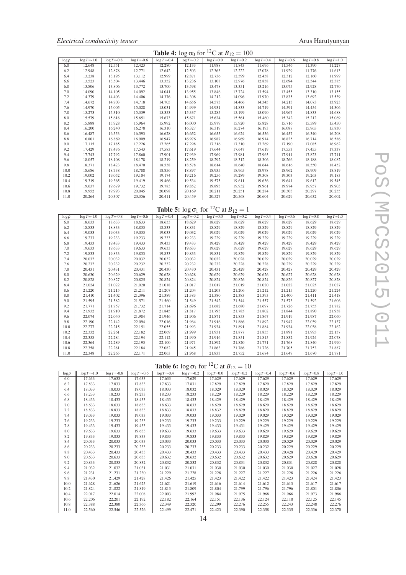|  | Electrical conductivity tensor |  |
|--|--------------------------------|--|
|--|--------------------------------|--|

| <b>Table 4:</b> $\log \sigma_0$ for <sup>12</sup> C at $B_{12} = 100$ |                 |                 |                 |                |                 |               |                |               |                |               |                |  |
|-----------------------------------------------------------------------|-----------------|-----------------|-----------------|----------------|-----------------|---------------|----------------|---------------|----------------|---------------|----------------|--|
| $\log \rho$                                                           | $\log T = -1.0$ | $\log T = -0.8$ | $\log T = -0.6$ | $\log T = 0.4$ | $\log T = -0.2$ | $log T = 0.0$ | $\log T = 0.2$ | $log T = 0.4$ | $\log T = 0.6$ | $log T = 0.8$ | $\log T = 1.0$ |  |
| 6.0                                                                   | 12.648          | 12.551          | 12.423          | 12.280         | 12.133          | 11.988        | 11.843         | 11.696        | 11.546         | 11.390        | 11.227         |  |
| 6.2                                                                   | 12.948          | 12.878          | 12.771          | 12.642         | 12.503          | 12.363        | 12.222         | 12.078        | 11.929         | 11.776        | 11.613         |  |
| 6.4                                                                   | 13.238          | 13.195          | 13.112          | 12.999         | 12.871          | 12.736        | 12.599         | 12.458        | 12.312         | 12.160        | 11.999         |  |
| 6.6                                                                   | 13.523          | 13.504          | 13.446          | 13.352         | 13.236          | 13.108        | 12.976         | 12.838        | 12.694         | 12.544        | 12.385         |  |
| 6.8                                                                   | 13.806          | 13.806          | 13.772          | 13.700         | 13.598          | 13.478        | 13.351         | 13.216        | 13.075         | 12.928        | 12.770         |  |
| 7.0                                                                   | 14.090          | 14.105          | 14.092          | 14.041         | 13.955          | 13.846        | 13.724         | 13.594        | 13.455         | 13.310        | 13.155         |  |
| 7.2                                                                   | 14.379          | 14.403          | 14.406          | 14.376         | 14.308          | 14.212        | 14.096         | 13.970        | 13.835         | 13.692        | 13.539         |  |
| 7.4                                                                   | 14.672          | 14.703          | 14.718          | 14.705         | 14.656          | 14.573        | 14.466         | 14.345        | 14.213         | 14.073        | 13.923         |  |
| 7.6                                                                   | 14.970          | 15.005          | 15.028          | 15.031         | 14.999          | 14.931        | 14.833         | 14.719        | 14.591         | 14.454        | 14.306         |  |
| 7.8                                                                   | 15.273          | 15.310          | 15.339          | 15.353         | 15.337          | 15.285        | 15.199         | 15.090        | 14.967         | 14.833        | 14.688         |  |
| 8.0                                                                   | 15.579          | 15.618          | 15.651          | 15.673         | 15.671          | 15.634        | 15.561         | 15.460        | 15.342         | 15.212        | 15.069         |  |
| 8.2                                                                   | 15.888          | 15.928          | 15.964          | 15.992         | 16.000          | 15.979        | 15.920         | 15.828        | 15.716         | 15.589        | 15.450         |  |
| 8.4                                                                   | 16.200          | 16.240          | 16.278          | 16.310         | 16.327          | 16.319        | 16.274         | 16.193        | 16.088         | 15.965        | 15.830         |  |
| 8.6                                                                   | 16.487          | 16.553          | 16.593          | 16.628         | 16.652          | 16.655        | 16.624         | 16.556        | 16.457         | 16.340        | 16.208         |  |
| 8.8                                                                   | 16.801          | 16.869          | 16.909          | 16.947         | 16.976          | 16.987        | 16.969         | 16.914        | 16.825         | 16.714        | 16.586         |  |
| 9.0                                                                   | 17.115          | 17.185          | 17.226          | 17.265         | 17.298          | 17.316        | 17.310         | 17.269        | 17.190         | 17.085        | 16.962         |  |
| 9.2                                                                   | 17.429          | 17.476          | 17.543          | 17.583         | 17.619          | 17.644        | 17.647         | 17.619        | 17.553         | 17.455        | 17.337         |  |
| 9.4                                                                   | 17.743          | 17.792          | 17.860          | 17.901         | 17.939          | 17.969        | 17.981         | 17.965        | 17.911         | 17.823        | 17.711         |  |
| 9.6                                                                   | 18.057          | 18.108          | 18.178          | 18.219         | 18.259          | 18.292        | 18.312         | 18.306        | 18.266         | 18.188        | 18.082         |  |
| 9.8                                                                   | 18.371          | 18.423          | 18.470          | 18.538         | 18.578          | 18.614        | 18.640         | 18.644        | 18.616         | 18.550        | 18.452         |  |
| 10.0                                                                  | 18.686          | 18.738          | 18.788          | 18.856         | 18.897          | 18.935        | 18.965         | 18.978        | 18.962         | 18.909        | 18.819         |  |
| 10.2                                                                  | 19.002          | 19.052          | 19.104          | 19.174         | 19.216          | 19.256        | 19.289         | 19.308        | 19.303         | 19.263        | 19.183         |  |
| 10.4                                                                  | 19.319          | 19.365          | 19.419          | 19.466         | 19.534          | 19.575        | 19.611         | 19.636        | 19.641         | 19.612        | 19.545         |  |
| 10.6                                                                  | 19.637          | 19.679          | 19.732          | 19.783         | 19.852          | 19.893        | 19.932         | 19.961        | 19.974         | 19.957        | 19.903         |  |
| 10.8                                                                  | 19.952          | 19.993          | 20.045          | 20.098         | 20.169          | 20.211        | 20.251         | 20.284        | 20.303         | 20.297        | 20.255         |  |
| 11.0                                                                  | 20.264          | 20.307          | 20.356          | 20.411         | 20.459          | 20.527        | 20.568         | 20.604        | 20.629         | 20.632        | 20.602         |  |

# **Table 5:**  $\log \sigma_1$  for <sup>12</sup>C at  $B_{12} = 1$

| $\log \rho$ | $\log T = -1.0$ | $\log T = -0.8$ | $\log T = -0.6$ | $\log T = -0.4$ | $\log T = -0.2$ | $\log T = 0.0$ | $\log T = 0.2$ | $log T = 0.4$ | $\log T = 0.6$ | $\log T = 0.8$ | $\log T = 1.0$ |
|-------------|-----------------|-----------------|-----------------|-----------------|-----------------|----------------|----------------|---------------|----------------|----------------|----------------|
| 6.0         | 18.633          | 18.633          | 18.633          | 18.633          | 18.629          | 18.629         | 18.629         | 18.629        | 18.629         | 18.629         | 18.629         |
| 6.2         | 18.833          | 18.833          | 18.833          | 18.833          | 18.831          | 18.829         | 18.829         | 18.829        | 18.829         | 18.829         | 18.829         |
| 6.4         | 19.033          | 19.033          | 19.033          | 19.033          | 19.032          | 19.029         | 19.029         | 19.029        | 19.029         | 19.029         | 19.029         |
| 6.6         | 19.233          | 19.233          | 19.233          | 19.233          | 19.233          | 19.229         | 19.229         | 19.229        | 19.229         | 19.229         | 19.229         |
| 6.8         | 19.433          | 19.433          | 19.433          | 19.433          | 19.433          | 19.429         | 19.429         | 19.429        | 19.429         | 19.429         | 19.429         |
| 7.0         | 19.633          | 19.633          | 19.633          | 19.633          | 19.633          | 19.629         | 19.629         | 19.629        | 19.629         | 19.629         | 19.629         |
| 7.2         | 19.833          | 19.833          | 19.833          | 19.833          | 19.833          | 19.831         | 19.829         | 19.829        | 19.829         | 19.829         | 19.829         |
| 7.4         | 20.032          | 20.032          | 20.032          | 20.032          | 20.032          | 20.032         | 20.028         | 20.029        | 20.029         | 20.029         | 20.029         |
| 7.6         | 20.232          | 20.232          | 20.232          | 20.232          | 20.232          | 20.232         | 20.228         | 20.228        | 20.229         | 20.229         | 20.229         |
| 7.8         | 20.431          | 20.431          | 20.431          | 20.430          | 20.430          | 20.431         | 20.429         | 20.428        | 20.428         | 20.429         | 20.429         |
| 8.0         | 20.630          | 20.629          | 20.629          | 20.628          | 20.628          | 20.629         | 20.629         | 20.626        | 20.627         | 20.628         | 20.628         |
| 8.2         | 20.828          | 20.827          | 20.825          | 20.824          | 20.824          | 20.824         | 20.826         | 20.824        | 20.826         | 20.827         | 20.828         |
| 8.4         | 21.024          | 21.022          | 21.020          | 21.018          | 21.017          | 21.017         | 21.019         | 21.020        | 21.022         | 21.025         | 21.027         |
| 8.6         | 21.220          | 21.215          | 21.211          | 21.207          | 21.204          | 21.203         | 21.206         | 21.212        | 21.215         | 21.220         | 21.224         |
| 8.8         | 21.410          | 21.402          | 21.396          | 21.389          | 21.383          | 21.380         | 21.383         | 21.393        | 21.400         | 21.411         | 21.418         |
| 9.0         | 21.595          | 21.582          | 21.571          | 21.560          | 21.549          | 21.542         | 21.544         | 21.557        | 21.573         | 21.592         | 21.606         |
| 9.2         | 21.771          | 21.757          | 21.732          | 21.714          | 21.696          | 21.682         | 21.680         | 21.697        | 21.726         | 21.755         | 21.782         |
| 9.4         | 21.932          | 21.910          | 21.872          | 21.845          | 21.817          | 21.793         | 21.785         | 21.802        | 21.844         | 21.890         | 21.938         |
| 9.6         | 22.074          | 22.040          | 21.984          | 21.946          | 21.906          | 21.871         | 21.853         | 21.867        | 21.919         | 21.987         | 22.060         |
| 9.8         | 22.190          | 22.142          | 22.094          | 22.016          | 21.964          | 21.916         | 21.886         | 21.892        | 21.947         | 22.039         | 22.137         |
| 10.0        | 22.277          | 22.215          | 22.151          | 22.055          | 21.993          | 21.934         | 21.891         | 21.884        | 21.934         | 22.038         | 22.162         |
| 10.2        | 22.332          | 22.261          | 22.182          | 22.069          | 21.999          | 21.931         | 21.877         | 21.855        | 21.891         | 21.995         | 22.137         |
| 10.4        | 22.358          | 22.284          | 22.194          | 22.112          | 21.990          | 21.916         | 21.851         | 21.815        | 21.832         | 21.924         | 22.078         |
| 10.6        | 22.364          | 22.289          | 22.193          | 22.100          | 21.971          | 21.892         | 21.820         | 21.771        | 21.768         | 21.840         | 21.990         |
| 10.8        | 22.358          | 22.281          | 22.184          | 22.082          | 21.945          | 21.863         | 21.786         | 21.726        | 21.705         | 21.753         | 21.887         |
| 11.0        | 22.348          | 22.265          | 22.171          | 22.063          | 21.968          | 21.833         | 21.752         | 21.684        | 21.647         | 21.670         | 21.781         |

# **Table 6:**  $\log \sigma_1$  for <sup>12</sup>C at  $B_{12} = 10$

| $\log \rho$ | $\log T = -1.0$ | $log T = -0.8$ | $\log T = -0.6$ | $log T = -0.4$ | $\log T = -0.2$ | $log T = 0.0$ | $\log T = 0.2$ | $log T = 0.4$ | $log T = 0.6$ | $log T = 0.8$ | $\log T = 1.0$ |
|-------------|-----------------|----------------|-----------------|----------------|-----------------|---------------|----------------|---------------|---------------|---------------|----------------|
| 6.0         | 17.633          | 17.633         | 17.633          | 17.633         | 17.629          | 17.629        | 17.629         | 17.629        | 17.629        | 17.629        | 17.629         |
| 6.2         | 17.833          | 17.833         | 17.833          | 17.833         | 17.831          | 17.829        | 17.829         | 17.829        | 17.829        | 17.829        | 17.829         |
| 6.4         | 18.033          | 18.033         | 18.033          | 18.033         | 18.032          | 18.029        | 18.029         | 18.029        | 18.029        | 18.029        | 18.029         |
| 6.6         | 18.233          | 18.233         | 18.233          | 18.233         | 18.233          | 18.229        | 18.229         | 18.229        | 18.229        | 18.229        | 18.229         |
| 6.8         | 18.433          | 18.433         | 18.433          | 18.433         | 18.433          | 18.429        | 18.429         | 18.429        | 18.429        | 18.429        | 18.429         |
| 7.0         | 18.633          | 18.633         | 18.633          | 18.633         | 18.633          | 18.629        | 18.629         | 18.629        | 18.629        | 18.629        | 18.629         |
| 7.2         | 18.833          | 18.833         | 18.833          | 18.833         | 18.833          | 18.832        | 18.829         | 18.829        | 18.829        | 18.829        | 18.829         |
| 7.4         | 19.033          | 19.033         | 19.033          | 19.033         | 19.033          | 19.033        | 19.029         | 19.029        | 19.029        | 19.029        | 19.029         |
| 7.6         | 19.233          | 19.233         | 19.233          | 19.233         | 19.233          | 19.233        | 19.229         | 19.229        | 19.229        | 19.229        | 19.229         |
| 7.8         | 19.433          | 19.433         | 19.433          | 19.433         | 19.433          | 19.433        | 19.431         | 19.429        | 19.429        | 19.429        | 19.429         |
| 8.0         | 19.633          | 19.633         | 19.633          | 19.633         | 19.633          | 19.633        | 19.633         | 19.629        | 19.629        | 19.629        | 19.629         |
| 8.2         | 19.833          | 19.833         | 19.833          | 19.833         | 19.833          | 19.833        | 19.833         | 19.829        | 19.829        | 19.829        | 19.829         |
| 8.4         | 20.033          | 20.033         | 20.033          | 20.033         | 20.033          | 20.033        | 20.033         | 20.030        | 20.029        | 20.029        | 20.029         |
| 8.6         | 20.233          | 20.233         | 20.233          | 20.233         | 20.233          | 20.233        | 20.233         | 20.232        | 20.229        | 20.229        | 20.229         |
| 8.8         | 20.433          | 20.433         | 20.433          | 20.433         | 20.433          | 20.433        | 20.433         | 20.433        | 20.428        | 20.429        | 20.429         |
| 9.0         | 20.633          | 20.633         | 20.633          | 20.632         | 20.632          | 20.632        | 20.632         | 20.632        | 20.629        | 20.628        | 20.629         |
| 9.2         | 20.833          | 20.833         | 20.832          | 20.832         | 20.832          | 20.832        | 20.831         | 20.832        | 20.831        | 20.828        | 20.828         |
| 9.4         | 21.032          | 21.032         | 21.031          | 21.031         | 21.031          | 21.030        | 21.030         | 21.030        | 21.030        | 21.027        | 21.028         |
| 9.6         | 21.231          | 21.231         | 21.230          | 21.229         | 21.228          | 21.228        | 21.227         | 21.227        | 21.228        | 21.226        | 21.226         |
| 9.8         | 21.430          | 21.429         | 21.428          | 21.426         | 21.425          | 21.423        | 21.422         | 21.422        | 21.423        | 21.424        | 21.423         |
| 10.0        | 21.628          | 21.626         | 21.625          | 21.621         | 21.619          | 21.616        | 21.614         | 21.612        | 21.613        | 21.617        | 21.617         |
| 10.2        | 21.824          | 21.822         | 21.819          | 21.813         | 21.809          | 21.804        | 21.799         | 21.796        | 21.796        | 21.801        | 21.806         |
| 10.4        | 22.017          | 22.014         | 22.008          | 22,003         | 21.992          | 21.984        | 21.975         | 21.968        | 21.966        | 21.973        | 21.986         |
| 10.6        | 22.206          | 22.201         | 22.192          | 22.182         | 22.164          | 22.151        | 22.136         | 22.124        | 22.118        | 22.125        | 22.145         |
| 10.8        | 22.388          | 22.380         | 22.366          | 22.349         | 22.320          | 22.299        | 22.276         | 22.255        | 22.243        | 22.248        | 22.276         |
| 11.0        | 22.560          | 22.546         | 22.526          | 22.499         | 22.471          | 22.423        | 22.390         | 22.358        | 22.335        | 22.336        | 22.370         |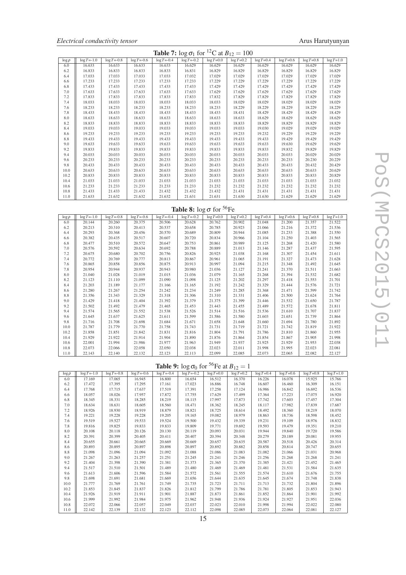|  | Electrical conductivity tensor |  |
|--|--------------------------------|--|
|--|--------------------------------|--|

| <b>Table 7:</b> $\log \sigma_1$ for <sup>12</sup> C at $B_{12} = 100$ |                 |                 |                 |                 |                 |               |                |               |               |               |               |  |
|-----------------------------------------------------------------------|-----------------|-----------------|-----------------|-----------------|-----------------|---------------|----------------|---------------|---------------|---------------|---------------|--|
| $\log \rho$                                                           | $\log T = -1.0$ | $\log T = -0.8$ | $\log T = -0.6$ | $\log T = -0.4$ | $\log T = -0.2$ | $log T = 0.0$ | $\log T = 0.2$ | $log T = 0.4$ | $log T = 0.6$ | $log T = 0.8$ | $log T = 1.0$ |  |
| 6.0                                                                   | 16.633          | 16.633          | 16.633          | 16.633          | 16.629          | 16.629        | 16.629         | 16.629        | 16.629        | 16.629        | 16.629        |  |
| 6.2                                                                   | 16.833          | 16.833          | 16.833          | 16.833          | 16.831          | 16.829        | 16.829         | 16.829        | 16.829        | 16.829        | 16.829        |  |
| 6.4                                                                   | 17.033          | 17.033          | 17.033          | 17.033          | 17.032          | 17.029        | 17.029         | 17.029        | 17.029        | 17.029        | 17.029        |  |
| 6.6                                                                   | 17.233          | 17.233          | 17.233          | 17.233          | 17.233          | 17.229        | 17.229         | 17.229        | 17.229        | 17.229        | 17.229        |  |
| 6.8                                                                   | 17.433          | 17.433          | 17.433          | 17.433          | 17.433          | 17.429        | 17.429         | 17.429        | 17.429        | 17.429        | 17.429        |  |
| 7.0                                                                   | 17.633          | 17.633          | 17.633          | 17.633          | 17.633          | 17.629        | 17.629         | 17.629        | 17.629        | 17.629        | 17.629        |  |
| 7.2                                                                   | 17.833          | 17.833          | 17.833          | 17.833          | 17.833          | 17.832        | 17.829         | 17.829        | 17.829        | 17.829        | 17.829        |  |
| 7.4                                                                   | 18.033          | 18.033          | 18.033          | 18.033          | 18.033          | 18.033        | 18.029         | 18.029        | 18.029        | 18.029        | 18.029        |  |
| 7.6                                                                   | 18.233          | 18.233          | 18.233          | 18.233          | 18.233          | 18.233        | 18.229         | 18.229        | 18.229        | 18.229        | 18.229        |  |
| 7.8                                                                   | 18.433          | 18.433          | 18.433          | 18.433          | 18.433          | 18.433        | 18.431         | 18.429        | 18.429        | 18.429        | 18.429        |  |
| 8.0                                                                   | 18.633          | 18.633          | 18.633          | 18.633          | 18.633          | 18.633        | 18.633         | 18.629        | 18.629        | 18.629        | 18.629        |  |
| 8.2                                                                   | 18.833          | 18.833          | 18.833          | 18.833          | 18.833          | 18.833        | 18.833         | 18.829        | 18.829        | 18.829        | 18.829        |  |
| 8.4                                                                   | 19.033          | 19.033          | 19.033          | 19.033          | 19.033          | 19.033        | 19.033         | 19.030        | 19.029        | 19.029        | 19.029        |  |
| 8.6                                                                   | 19.233          | 19.233          | 19.233          | 19.233          | 19.233          | 19.233        | 19.233         | 19.232        | 19.229        | 19.229        | 19.229        |  |
| 8.8                                                                   | 19.433          | 19.433          | 19.433          | 19.433          | 19.433          | 19.433        | 19.433         | 19.433        | 19.429        | 19.429        | 19.429        |  |
| 9.0                                                                   | 19.633          | 19.633          | 19.633          | 19.633          | 19.633          | 19.633        | 19.633         | 19.633        | 19.630        | 19.629        | 19.629        |  |
| 9.2                                                                   | 19.833          | 19.833          | 19.833          | 19.833          | 19.833          | 19.833        | 19.833         | 19.833        | 19.832        | 19.829        | 19.829        |  |
| 9.4                                                                   | 20.033          | 20.033          | 20.033          | 20.033          | 20.033          | 20.033        | 20.033         | 20.033        | 20.033        | 20.029        | 20.029        |  |
| 9.6                                                                   | 20.233          | 20.233          | 20.233          | 20.233          | 20.233          | 20.233        | 20.233         | 20.233        | 20.233        | 20.230        | 20.229        |  |
| 9.8                                                                   | 20.433          | 20.433          | 20.433          | 20.433          | 20.433          | 20.433        | 20.433         | 20.433        | 20.433        | 20.432        | 20.429        |  |
| 10.0                                                                  | 20.633          | 20.633          | 20.633          | 20.633          | 20.633          | 20.633        | 20.633         | 20.633        | 20.633        | 20.633        | 20.629        |  |
| 10.2                                                                  | 20.833          | 20.833          | 20.833          | 20.833          | 20.833          | 20.833        | 20.833         | 20.833        | 20.833        | 20.833        | 20.829        |  |
| 10.4                                                                  | 21.033          | 21.033          | 21.033          | 21.033          | 21.033          | 21.033        | 21.033         | 21.033        | 21.033        | 21.033        | 21.032        |  |
| 10.6                                                                  | 21.233          | 21.233          | 21.233          | 21.233          | 21.233          | 21.232        | 21.232         | 21.232        | 21.232        | 21.232        | 21.232        |  |
| 10.8                                                                  | 21.433          | 21.433          | 21.433          | 21.432          | 21.432          | 21.432        | 21.431         | 21.431        | 21.431        | 21.431        | 21.431        |  |
| 11.0                                                                  | 21.633          | 21.632          | 21.632          | 21.632          | 21.631          | 21.631        | 21.630         | 21.630        | 21.629        | 21.629        | 21.629        |  |

# Table 8:  $\log \sigma$  for <sup>56</sup>Fe

| $\log \rho$ | $\log T = -1.0$ | $\log T = -0.8$ | $\log T = -0.6$ | $\log T = -0.4$ | $\log T = -0.2$ | $log T = 0.0$ | $log T = 0.2$ | $log T = 0.4$ | $\log T = 0.6$ | $\log T = 0.8$ | $\log T = 1.0$ |
|-------------|-----------------|-----------------|-----------------|-----------------|-----------------|---------------|---------------|---------------|----------------|----------------|----------------|
| 6.0         | 20.144          | 20.260          | 20.375          | 20.506          | 20.628          | 20.762        | 20.902        | 21.048        | 21.200         | 21.357         | 21.522         |
| 6.2         | 20.213          | 20.310          | 20.413          | 20.537          | 20.658          | 20.785        | 20.923        | 21.066        | 21.216         | 21.372         | 21.536         |
| 6.4         | 20.293          | 20.368          | 20.456          | 20.570          | 20.689          | 20.809        | 20.944        | 21.085        | 21.233         | 21.388         | 21.550         |
| 6.6         | 20.382          | 20.435          | 20.517          | 20.607          | 20.720          | 20.834        | 20.966        | 21.104        | 21.250         | 21.403         | 21.565         |
| 6.8         | 20.477          | 20.510          | 20.572          | 20.647          | 20.753          | 20.861        | 20.989        | 21.125        | 21.268         | 21.420         | 21.580         |
| 7.0         | 20.576          | 20.592          | 20.634          | 20.692          | 20.788          | 20.889        | 21.013        | 21.146        | 21.287         | 21.437         | 21.595         |
| 7.2         | 20.675          | 20.680          | 20.702          | 20.756          | 20.826          | 20.925        | 21.038        | 21.168        | 21.307         | 21.454         | 21.611         |
| 7.4         | 20.772          | 20.769          | 20.777          | 20.813          | 20.867          | 20.961        | 21.065        | 21.191        | 21.327         | 21.473         | 21.628         |
| 7.6         | 20.865          | 20.858          | 20.856          | 20.875          | 20.913          | 20.997        | 21.094        | 21.215        | 21.348         | 21.492         | 21.645         |
| 7.8         | 20.954          | 20.944          | 20.937          | 20.943          | 20.980          | 21.036        | 21.127        | 21.241        | 21.370         | 21.511         | 21.663         |
| 8.0         | 21.040          | 21.028          | 21.019          | 21.015          | 21.036          | 21.079        | 21.165        | 21.268        | 21.394         | 21.532         | 21.682         |
| 8.2         | 21.123          | 21.110          | 21.099          | 21.090          | 21.098          | 21.125        | 21.202        | 21.297        | 21.418         | 21.553         | 21.701         |
| 8.4         | 21.203          | 21.189          | 21.177          | 21.166          | 21.165          | 21.192        | 21.242        | 21.329        | 21.444         | 21.576         | 21.721         |
| 8.6         | 21.280          | 21.267          | 21.254          | 21.242          | 21.234          | 21.249        | 21.285        | 21.368        | 21.471         | 21.599         | 21.742         |
| 8.8         | 21.356          | 21.343          | 21.329          | 21.318          | 21.306          | 21.310        | 21.331        | 21.406        | 21.500         | 21.624         | 21.764         |
| 9.0         | 21.429          | 21.418          | 21.404          | 21.392          | 21.379          | 21.375        | 21.399        | 21.446        | 21.532         | 21.650         | 21.787         |
| 9.2         | 21.502          | 21.492          | 21.479          | 21.465          | 21.453          | 21.443        | 21.455        | 21.489        | 21.572         | 21.678         | 21.811         |
| 9.4         | 21.574          | 21.565          | 21.552          | 21.538          | 21.526          | 21.514        | 21.516        | 21.536        | 21.610         | 21.707         | 21.837         |
| 9.6         | 21.645          | 21.637          | 21.625          | 21.611          | 21.599          | 21.586        | 21.580        | 21.603        | 21.651         | 21.739         | 21.864         |
| 9.8         | 21.716          | 21.708          | 21.698          | 21.684          | 21.671          | 21.658        | 21.648        | 21.660        | 21.694         | 21.780         | 21.892         |
| 10.0        | 21.787          | 21.779          | 21.770          | 21.758          | 21.743          | 21.731        | 21.719        | 21.721        | 21.742         | 21.819         | 21.922         |
| 10.2        | 21.858          | 21.851          | 21.842          | 21.831          | 21.816          | 21.804        | 21.791        | 21.786        | 21.810         | 21.860         | 21.955         |
| 10.4        | 21.929          | 21.922          | 21.914          | 21.904          | 21.890          | 21.876        | 21.864        | 21.854        | 21.867         | 21.905         | 21.998         |
| 10.6        | 22.001          | 21.994          | 21.986          | 21.977          | 21.963          | 21.949        | 21.937        | 21.925        | 21.929         | 21.953         | 22.038         |
| 10.8        | 22.073          | 22.066          | 22.058          | 22.050          | 22.038          | 22.023        | 22.011        | 21.998        | 21.995         | 22.023         | 22.081         |
| 11.0        | 22.143          | 22.140          | 22.132          | 22.123          | 22.113          | 22.099        | 22.085        | 22.073        | 22.065         | 22.082         | 22.127         |

### Table 9:  $\log \sigma_0$  for <sup>56</sup>Fe at  $B_{12} = 1$

| $\log \rho$ | $\log T = -1.0$ | $log T = -0.8$ | $\log T = -0.6$ | $\log T = -0.4$ | $\log T = -0.2$ | $log T = 0.0$ | $log T = 0.2$ | $\log T = 0.4$ | $log T = 0.6$ | $log T = 0.8$ | $\log T = 1.0$ |
|-------------|-----------------|----------------|-----------------|-----------------|-----------------|---------------|---------------|----------------|---------------|---------------|----------------|
| 6.0         | 17.169          | 17.065         | 16.945          | 16.800          | 16.654          | 16.512        | 16.370        | 16.226         | 16.078        | 15.925        | 15.766         |
| 6.2         | 17.472          | 17.395         | 17.295          | 17.161          | 17.023          | 16.886        | 16.748        | 16.607         | 16.460        | 16.309        | 16.151         |
| 6.4         | 17.768          | 17.715         | 17.637          | 17.519          | 17.391          | 17.258        | 17.124        | 16.986         | 16.842        | 16.692        | 16.536         |
| 6.6         | 18.057          | 18.026         | 17.957          | 17.872          | 17.755          | 17.629        | 17.499        | 17.364         | 17.223        | 17.075        | 16.920         |
| 6.8         | 18.345          | 18.331         | 18.285          | 18.219          | 18.115          | 17.997        | 17.873        | 17.742         | 17.603        | 17.457        | 17.304         |
| 7.0         | 18.634          | 18.631         | 18.605          | 18.560          | 18.471          | 18.362        | 18.245        | 18.117         | 17.982        | 17.839        | 17.687         |
| 7.2         | 18.926          | 18.930         | 18.919          | 18.879          | 18.821          | 18.725        | 18.614        | 18.492         | 18.360        | 18.219        | 18.070         |
| 7.4         | 19.221          | 19.228         | 19.228          | 19.205          | 19.165          | 19.082        | 18.979        | 18.863         | 18.736        | 18.598        | 18.452         |
| 7.6         | 19.519          | 19.527         | 19.533          | 19.524          | 19.500          | 19.432        | 19.339        | 19.231         | 19.109        | 18.976        | 18.832         |
| 7.8         | 19.816          | 19.825         | 19.833          | 19.833          | 19.809          | 19.771        | 19.692        | 19.593         | 19.479        | 19.351        | 19.210         |
| 8.0         | 20.108          | 20.118         | 20.126          | 20.130          | 20.119          | 20.093        | 20.031        | 19.944         | 19.840        | 19.720        | 19.586         |
| 8.2         | 20.391          | 20.399         | 20.405          | 20.411          | 20.407          | 20.394        | 20.348        | 20.279         | 20.189        | 20.081        | 19.955         |
| 8.4         | 20.655          | 20.661         | 20.665          | 20.669          | 20.669          | 20.657        | 20.635        | 20.587         | 20.518        | 20.426        | 20.314         |
| 8.6         | 20.893          | 20.895         | 20.897          | 20.898          | 20.897          | 20.892        | 20.882        | 20.858         | 20.814        | 20.747        | 20.655         |
| 8.8         | 21.098          | 21.096         | 21.094          | 21.092          | 21.088          | 21.086        | 21.083        | 21.082         | 21.066        | 21.031        | 20.968         |
| 9.0         | 21.267          | 21.263         | 21.257          | 21.251          | 21.245          | 21.241        | 21.246        | 21.256         | 21.268        | 21.268        | 21.241         |
| 9.2         | 21.404          | 21.398         | 21.390          | 21.381          | 21.373          | 21.365        | 21.370        | 21.385         | 21.421        | 21.452        | 21.465         |
| 9.4         | 21.517          | 21.510         | 21.501          | 21.489          | 21.480          | 21.469        | 21.469        | 21.481         | 21.531        | 21.584        | 21.635         |
| 9.6         | 21.613          | 21.606         | 21.596          | 21.584          | 21.572          | 21.561        | 21.555        | 21.574         | 21.610        | 21.676        | 21.755         |
| 9.8         | 21.698          | 21.691         | 21.681          | 21.669          | 21.656          | 21.644        | 21.635        | 21.645         | 21.674        | 21.748        | 21.838         |
| 10.0        | 21.777          | 21.769         | 21.761          | 21.749          | 21.735          | 21.723        | 21.711        | 21.713         | 21.732        | 21.804        | 21.896         |
| 10.2        | 21.853          | 21.845         | 21.837          | 21.826          | 21.812          | 21.799        | 21.786        | 21.781         | 21.805        | 21.853        | 21.943         |
| 10.4        | 21.926          | 21.919         | 21.911          | 21.901          | 21.887          | 21.873        | 21.861        | 21.852         | 21.864        | 21.901        | 21.992         |
| 10.6        | 21.999          | 21.992         | 21.984          | 21.975          | 21.962          | 21.948        | 21.936        | 21.924         | 21.927        | 21.951        | 22.036         |
| 10.8        | 22.072          | 22.066         | 22.057          | 22.049          | 22.037          | 22.023        | 22.010        | 21.998         | 21.994        | 22.022        | 22.080         |
| 11.0        | 22.142          | 22.139         | 22.132          | 22.123          | 22.112          | 22.098        | 22.085        | 22.073         | 22.064        | 22.081        | 22.127         |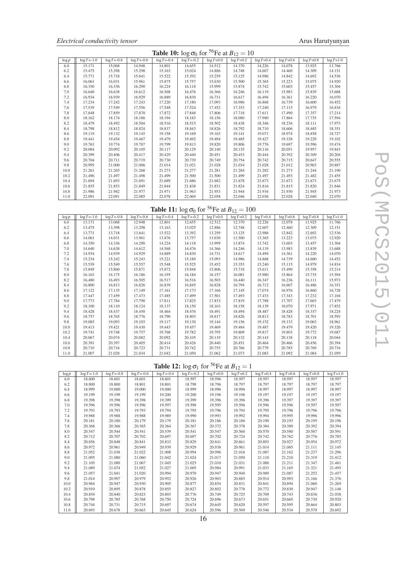| <b>Table 10:</b> $\log \sigma_0$ for <sup>56</sup> Fe at $B_{12} = 10$ |                 |                 |                 |                 |                 |               |                |               |                |               |               |  |
|------------------------------------------------------------------------|-----------------|-----------------|-----------------|-----------------|-----------------|---------------|----------------|---------------|----------------|---------------|---------------|--|
| $\log \rho$                                                            | $\log T = -1.0$ | $\log T = -0.8$ | $\log T = -0.6$ | $\log T = -0.4$ | $\log T = -0.2$ | $log T = 0.0$ | $\log T = 0.2$ | $log T = 0.4$ | $\log T = 0.6$ | $log T = 0.8$ | $log T = 1.0$ |  |
| 6.0                                                                    | 15.171          | 15.068          | 14.948          | 14.801          | 14.655          | 14.512        | 14.370         | 14.226        | 14.078         | 13.925        | 13.766        |  |
| 6.2                                                                    | 15.475          | 15.398          | 15.298          | 15.163          | 15.024          | 14.886        | 14.748         | 14.607        | 14.460         | 14.309        | 14.151        |  |
| 6.4                                                                    | 15.771          | 15.718          | 15.641          | 15.522          | 15.392          | 15.259        | 15.125         | 14.986        | 14.842         | 14.692        | 14.536        |  |
| 6.6                                                                    | 16.061          | 16.031          | 15.961          | 15.875          | 15.757          | 15.630        | 15.500         | 15.365        | 15.223         | 15.075        | 14.920        |  |
| 6.8                                                                    | 16.350          | 16.336          | 16.290          | 16.224          | 16.118          | 15.999        | 15.874         | 15.742        | 15.603         | 15.457        | 15.304        |  |
| 7.0                                                                    | 16.640          | 16.638          | 16.612          | 16.568          | 16.476          | 16.366        | 16.246         | 16.119        | 15.983         | 15.839        | 15.688        |  |
| 7.2                                                                    | 16.934          | 16.939          | 16.929          | 16.889          | 16.830          | 16.731        | 16.617         | 16.494        | 16.361         | 16.220        | 16.070        |  |
| 7.4                                                                    | 17.234          | 17.242          | 17.243          | 17.220          | 17.180          | 17.093        | 16.986         | 16.868        | 16.739         | 16.600        | 16.452        |  |
| 7.6                                                                    | 17.539          | 17.549          | 17.556          | 17.548          | 17.524          | 17.452        | 17.353         | 17.240        | 17.115         | 16.979        | 16.834        |  |
| 7.8                                                                    | 17.848          | 17.859          | 17.870          | 17.872          | 17.848          | 17.806        | 17.718         | 17.611        | 17.490         | 17.357        | 17.214        |  |
| 8.0                                                                    | 18.162          | 18.174          | 18.186          | 18.194          | 18.183          | 18.156        | 18.080         | 17.980        | 17.864         | 17.735        | 17.594        |  |
| 8.2                                                                    | 18.479          | 18.492          | 18.504          | 18.516          | 18.515          | 18.502        | 18.438         | 18.346        | 18.236         | 18.111        | 17.973        |  |
| 8.4                                                                    | 18.798          | 18.812          | 18.824          | 18.837          | 18.843          | 18.826        | 18.792         | 18.710        | 18.606         | 18.485        | 18.351        |  |
| 8.6                                                                    | 19.119          | 19.132          | 19.145          | 19.158          | 19.169          | 19.163        | 19.141         | 19.071        | 18.974         | 18.858        | 18.727        |  |
| 8.8                                                                    | 19.441          | 19.454          | 19.467          | 19.479          | 19.492          | 19.494        | 19.485         | 19.427        | 19.338         | 19.229        | 19.102        |  |
| 9.0                                                                    | 19.763          | 19.774          | 19.787          | 19.799          | 19.813          | 19.820        | 19.806         | 19.776        | 19.697         | 19.596        | 19.474        |  |
| 9.2                                                                    | 20.084          | 20.092          | 20.105          | 20.117          | 20.129          | 20.140        | 20.135         | 20.116        | 20.051         | 19.957        | 19.843        |  |
| 9.4                                                                    | 20.399          | 20.406          | 20.417          | 20.429          | 20.440          | 20.451        | 20.453         | 20.444        | 20.392         | 20.309        | 20.204        |  |
| 9.6                                                                    | 20.704          | 20.711          | 20.719          | 20.730          | 20.739          | 20.749        | 20.754         | 20.742        | 20.715         | 20.647        | 20.555        |  |
| 9.8                                                                    | 20.995          | 21.000          | 21.006          | 21.014          | 21.021          | 21.028        | 21.034         | 21.028        | 21.012         | 20.963        | 20.887        |  |
| 10.0                                                                   | 21.261          | 21.265          | 21.268          | 21.273          | 21.277          | 21.281        | 21.284         | 21.282        | 21.273         | 21.244        | 21.190        |  |
| 10.2                                                                   | 21.496          | 21.497          | 21.498          | 21.499          | 21.500          | 21.500        | 21.499         | 21.497        | 21.493         | 21.482        | 21.455        |  |
| 10.4                                                                   | 21.694          | 21.693          | 21.691          | 21.689          | 21.686          | 21.682        | 21.678         | 21.673        | 21.673         | 21.673        | 21.675        |  |
| 10.6                                                                   | 21.855          | 21.853          | 21.849          | 21.844          | 21.838          | 21.831        | 21.824         | 21.816        | 21.815         | 21.820        | 21.846        |  |
| 10.8                                                                   | 21.986          | 21.982          | 21.977          | 21.971          | 21.963          | 21.953        | 21.944         | 21.934        | 21.930         | 21.945        | 21.973        |  |
| 11.0                                                                   | 22.091          | 22.091          | 22.085          | 22.078          | 22.069          | 22.058        | 22.046         | 22.036        | 22.028         | 22.040        | 22,070        |  |

**Table 11:**  $\log \sigma_0$  for <sup>56</sup>Fe at *B*<sub>12</sub> = 100

| $\log \rho$ | $\log T = -1.0$ | $\log T = -0.8$ | $\log T = -0.6$ | $\log T = -0.4$ | $\log T = -0.2$ | $\log T = 0.0$ | $\log T = 0.2$ | $log T = 0.4$ | $\log T = 0.6$ | $log T = 0.8$ | $\log T = 1.0$ |
|-------------|-----------------|-----------------|-----------------|-----------------|-----------------|----------------|----------------|---------------|----------------|---------------|----------------|
| 6.0         | 13.171          | 13.068          | 12.948          | 12.801          | 12.655          | 12.512         | 12.370         | 12.226        | 12.078         | 11.925        | 11.766         |
| 6.2         | 13.475          | 13.398          | 13.298          | 13.163          | 13.025          | 12.886         | 12.748         | 12.607        | 12.460         | 12.309        | 12.151         |
| 6.4         | 13.771          | 13.718          | 13.641          | 13.522          | 13.392          | 13.259         | 13.125         | 12.986        | 12.842         | 12.692        | 12.536         |
| 6.6         | 14.061          | 14.031          | 13.961          | 13.876          | 13.757          | 13.630         | 13.500         | 13.365        | 13.223         | 13.075        | 12.920         |
| 6.8         | 14.350          | 14.336          | 14.290          | 14.224          | 14.118          | 13.999         | 13.874         | 13.742        | 13.603         | 13.457        | 13.304         |
| 7.0         | 14.640          | 14.638          | 14.612          | 14.568          | 14.476          | 14.366         | 14.246         | 14.119        | 13.983         | 13.839        | 13.688         |
| 7.2         | 14.934          | 14.939          | 14.929          | 14.889          | 14.830          | 14.731         | 14.617         | 14.494        | 14.361         | 14.220        | 14.070         |
| 7.4         | 15.234          | 15.242          | 15.243          | 15.221          | 15.180          | 15.093         | 14.986         | 14.868        | 14.739         | 14.600        | 14.452         |
| 7.6         | 15.539          | 15.549          | 15.557          | 15.548          | 15.525          | 15.452         | 15.353         | 15.240        | 15.115         | 14.979        | 14.834         |
| 7.8         | 15.849          | 15.860          | 15.871          | 15.872          | 15.848          | 15.806         | 15.718         | 15.611        | 15.490         | 15.358        | 15.214         |
| 8.0         | 16.163          | 16.175          | 16.186          | 16.195          | 16.184          | 16.157         | 16.081         | 15.980        | 15.864         | 15.735        | 15.594         |
| 8.2         | 16.480          | 16.493          | 16.505          | 16.517          | 16.516          | 16.503         | 16.440         | 16.347        | 16.236         | 16.111        | 15.973         |
| 8.4         | 16.800          | 16.813          | 16.826          | 16.839          | 16.845          | 16.828         | 16.794         | 16.712        | 16.607         | 16.486        | 16.351         |
| 8.6         | 17.122          | 17.135          | 17.149          | 17.161          | 17.173          | 17.166         | 17.145         | 17.074        | 16.976         | 16.860        | 16.728         |
| 8.8         | 17.447          | 17.459          | 17.473          | 17.485          | 17.499          | 17.501         | 17.493         | 17.433        | 17.343         | 17.232        | 17.104         |
| 9.0         | 17.773          | 17.784          | 17.798          | 17.811          | 17.825          | 17.833         | 17.819         | 17.788        | 17.707         | 17.603        | 17.479         |
| 9.2         | 18.100          | 18.110          | 18.124          | 18.137          | 18.150          | 18.163         | 18.158         | 18.139        | 18.070         | 17.971        | 17.852         |
| 9.4         | 18.428          | 18.437          | 18.450          | 18.464          | 18.476          | 18.491         | 18.494         | 18.487        | 18.428         | 18.337        | 18.224         |
| 9.6         | 18.757          | 18.765          | 18.776          | 18.790          | 18.803          | 18.817         | 18.826         | 18.813        | 18.783         | 18.701        | 18.593         |
| 9.8         | 19.085          | 19.093          | 19.103          | 19.117          | 19.130          | 19.144         | 19.156         | 19.152        | 19.133         | 19.063        | 18.961         |
| 10.0        | 19.413          | 19.421          | 19.430          | 19.443          | 19.457          | 19.469         | 19.484         | 19.487        | 19.479         | 19.420        | 19.326         |
| 10.2        | 19.741          | 19.748          | 19.757          | 19.768          | 19.782          | 19.795         | 19.809         | 19.817        | 19.803         | 19.772        | 19.687         |
| 10.4        | 20.067          | 20.074          | 20.082          | 20.092          | 20.105          | 20.119         | 20.132         | 20.143        | 20.138         | 20.118        | 20.044         |
| 10.6        | 20.391          | 20.397          | 20.405          | 20.414          | 20.426          | 20.440         | 20.451         | 20.464        | 20.466         | 20.456        | 20.394         |
| 10.8        | 20.710          | 20.716          | 20.723          | 20.731          | 20.742          | 20.755         | 20.766         | 20.779        | 20.785         | 20.769        | 20.734         |
| 11.0        | 21.007          | 21.028          | 21.034          | 21.042          | 21.050          | 21.062         | 21.073         | 21.083        | 21.092         | 21.084        | 21.059         |

### **Table 12:**  $\log \sigma_1$  for <sup>56</sup>Fe at  $B_{12} = 1$

| $\log \rho$ | $\log T = -1.0$ | $log T = -0.8$ | $\log T = 0.6$ | $\log T = -0.4$ | $\log T = -0.2$ | $log T = 0.0$ | $\log T = 0.2$ | $log T = 0.4$ | $\log T = 0.6$ | $log T = 0.8$ | $\log T = 1.0$ |
|-------------|-----------------|----------------|----------------|-----------------|-----------------|---------------|----------------|---------------|----------------|---------------|----------------|
| 6.0         | 18.600          | 18.601         | 18.601         | 18.601          | 18.597          | 18.596        | 18.597         | 18.597        | 18.597         | 18.597        | 18.597         |
| 6.2         | 18.800          | 18.800         | 18.801         | 18.801          | 18.798          | 18.796        | 18.797         | 18.797        | 18.797         | 18.797        | 18.797         |
| 6.4         | 18.999          | 19.000         | 19.000         | 19.000          | 18.999          | 18.996        | 18.996         | 18.997        | 18.997         | 18.997        | 18.997         |
| 6.6         | 19.199          | 19.199         | 19.199         | 19.200          | 19.200          | 19.196        | 19.196         | 19.197        | 19.197         | 19.197        | 19.197         |
| 6.8         | 19.398          | 19.398         | 19.398         | 19.399          | 19.399          | 19.396        | 19.396         | 19.396        | 19.397         | 19.397        | 19.397         |
| 7.0         | 19.596          | 19.596         | 19.596         | 19.597          | 19.598          | 19.595        | 19.596         | 19.596        | 19.596         | 19.597        | 19.597         |
| 7.2         | 19.793          | 19.793         | 19.793         | 19.794          | 19.795          | 19.796        | 19.794         | 19.795        | 19.796         | 19.796        | 19.796         |
| 7.4         | 19.988          | 19.988         | 19.988         | 19.989          | 19.990          | 19.993        | 19.992         | 19.994        | 19.995         | 19.996        | 19.996         |
| 7.6         | 20.181          | 20.180         | 20.179         | 20.179          | 20.181          | 20.186        | 20.186         | 20.190        | 20.193         | 20.195        | 20.196         |
| 7.8         | 20.368          | 20.366         | 20.365         | 20.364          | 20.367          | 20.372        | 20.378         | 20.384        | 20.389         | 20.392        | 20.394         |
| 8.0         | 20.547          | 20.544         | 20.541         | 20.539          | 20.541          | 20.547        | 20.560         | 20.570        | 20.580         | 20.587        | 20.591         |
| 8.2         | 20.712          | 20.707         | 20.702         | 20.697          | 20.697          | 20.702        | 20.724         | 20.742        | 20.762         | 20.776        | 20.785         |
| 8.4         | 20.856          | 20.848         | 20.841         | 20.833          | 20.829          | 20.841        | 20.861         | 20.893        | 20.927         | 20.954        | 20.972         |
| 8.6         | 20.972          | 20.961         | 20.949         | 20.939          | 20.929          | 20.938        | 20.961         | 21.014        | 21.065         | 21.111        | 21.145         |
| 8.8         | 21.052          | 21.038         | 21.022         | 21.008          | 20.994          | 20.996        | 21.016         | 21.087        | 21.162         | 21.237        | 21.296         |
| 9.0         | 21.095          | 21.080         | 21.060         | 21.042          | 21.024          | 21.017        | 21.050         | 21.110        | 21.210         | 21.319        | 21.412         |
| 9.2         | 21.105          | 21.089         | 21.067         | 21.045          | 21.025          | 21.010        | 21.031         | 21.088        | 21.211         | 21.347        | 21.481         |
| 9.4         | 21.089          | 21.074         | 21.052         | 21.027          | 21.005          | 20.984        | 20.991         | 21.033        | 21.165         | 21.321        | 21.495         |
| 9.6         | 21.057          | 21.041         | 21.020         | 20.994          | 20.970          | 20.947        | 20.940         | 20.989        | 21.087         | 21.252        | 21.457         |
| 9.8         | 21.014          | 20.997         | 20.979         | 20.952          | 20.926          | 20.903        | 20.885         | 20.914        | 20.993         | 21.166        | 21.376         |
| 10.0        | 20.964          | 20.947         | 20.930         | 20.905          | 20.877          | 20.854        | 20.831         | 20.841        | 20.894         | 21.060        | 21.269         |
| 10.2        | 20.910          | 20.895         | 20.878         | 20.855          | 20.827          | 20.802        | 20.778         | 20.772        | 20.830         | 20.947        | 21.148         |
| 10.4        | 20.854          | 20.840         | 20.823         | 20.803          | 20.776          | 20.749        | 20.725         | 20.709        | 20.743         | 20.836        | 21.038         |
| 10.6        | 20.798          | 20.785         | 20.768         | 20.750          | 20.724          | 20.696        | 20.673         | 20.651        | 20.665         | 20.730        | 20.920         |
| 10.8        | 20.744          | 20.731         | 20.715         | 20.697          | 20.674          | 20.645        | 20.620         | 20.597        | 20.595         | 20.664        | 20.803         |
| 11.0        | 20.693          | 20.678         | 20.663         | 20.645          | 20.624          | 20.596        | 20.569         | 20.546        | 20.534         | 20.579        | 20.692         |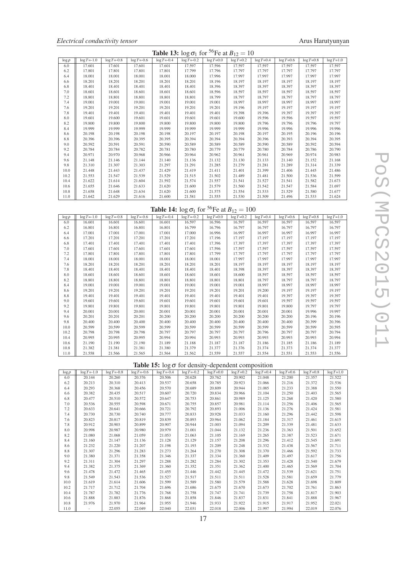|  | Electrical conductivity tensor |  |
|--|--------------------------------|--|
|--|--------------------------------|--|

| <b>Table 13:</b> $\log \sigma_1$ for <sup>56</sup> Fe at $B_{12} = 10$ |                 |                 |                 |                 |                 |               |                |               |                |               |               |  |  |
|------------------------------------------------------------------------|-----------------|-----------------|-----------------|-----------------|-----------------|---------------|----------------|---------------|----------------|---------------|---------------|--|--|
| $\log \rho$                                                            | $\log T = -1.0$ | $\log T = -0.8$ | $\log T = -0.6$ | $\log T = -0.4$ | $\log T = -0.2$ | $log T = 0.0$ | $\log T = 0.2$ | $log T = 0.4$ | $\log T = 0.6$ | $log T = 0.8$ | $log T = 1.0$ |  |  |
| 6.0                                                                    | 17.601          | 17.601          | 17.601          | 17.601          | 17.597          | 17.596        | 17.597         | 17.597        | 17.597         | 17.597        | 17.597        |  |  |
| 6.2                                                                    | 17.801          | 17.801          | 17.801          | 17.801          | 17.799          | 17.796        | 17.797         | 17.797        | 17.797         | 17.797        | 17.797        |  |  |
| 6.4                                                                    | 18.001          | 18.001          | 18.001          | 18.001          | 18.000          | 17.996        | 17.997         | 17.997        | 17.997         | 17.997        | 17.997        |  |  |
| 6.6                                                                    | 18.201          | 18.201          | 18.201          | 18.201          | 18.201          | 18.196        | 18.197         | 18.197        | 18.197         | 18.197        | 18.197        |  |  |
| 6.8                                                                    | 18.401          | 18.401          | 18.401          | 18.401          | 18.401          | 18.396        | 18.397         | 18.397        | 18.397         | 18.397        | 18.397        |  |  |
| 7.0                                                                    | 18.601          | 18.601          | 18.601          | 18.601          | 18.601          | 18.596        | 18.597         | 18.597        | 18.597         | 18.597        | 18.597        |  |  |
| 7.2                                                                    | 18.801          | 18.801          | 18.801          | 18.801          | 18.801          | 18.799        | 18.797         | 18.797        | 18.797         | 18.797        | 18.797        |  |  |
| 7.4                                                                    | 19.001          | 19.001          | 19.001          | 19.001          | 19.001          | 19.001        | 18.997         | 18.997        | 18.997         | 18.997        | 18.997        |  |  |
| 7.6                                                                    | 19.201          | 19.201          | 19.201          | 19.201          | 19.201          | 19.201        | 19.196         | 19.197        | 19.197         | 19.197        | 19.197        |  |  |
| 7.8                                                                    | 19.401          | 19.401          | 19.401          | 19.401          | 19.401          | 19.401        | 19.398         | 19.396        | 19.397         | 19.397        | 19.397        |  |  |
| 8.0                                                                    | 19.601          | 19.600          | 19.601          | 19.601          | 19.601          | 19.601        | 19.600         | 19.596        | 19.596         | 19.597        | 19.597        |  |  |
| 8.2                                                                    | 19.800          | 19.800          | 19.800          | 19.800          | 19.800          | 19.800        | 19.800         | 19.796        | 19.796         | 19.796        | 19.797        |  |  |
| 8.4                                                                    | 19.999          | 19.999          | 19.999          | 19.999          | 19.999          | 19.999        | 19.999         | 19.996        | 19.996         | 19.996        | 19.996        |  |  |
| 8.6                                                                    | 20.198          | 20.198          | 20.198          | 20.198          | 20.197          | 20.197        | 20.198         | 20.197        | 20.195         | 20.196        | 20.196        |  |  |
| 8.8                                                                    | 20.396          | 20.396          | 20.395          | 20.395          | 20.394          | 20.394        | 20.394         | 20.396        | 20.393         | 20.394        | 20.395        |  |  |
| 9.0                                                                    | 20.592          | 20.591          | 20.591          | 20.590          | 20.589          | 20.589        | 20.589         | 20.590        | 20.589         | 20.592        | 20.594        |  |  |
| 9.2                                                                    | 20.784          | 20.784          | 20.782          | 20.781          | 20.780          | 20.779        | 20.779         | 20.780        | 20.784         | 20.786        | 20.790        |  |  |
| 9.4                                                                    | 20.971          | 20.970          | 20.968          | 20.966          | 20.964          | 20.962        | 20.961         | 20.961        | 20.969         | 20.974        | 20.983        |  |  |
| 9.6                                                                    | 21.148          | 21.146          | 21.144          | 21.140          | 21.136          | 21.132        | 21.130         | 21.133        | 21.140         | 21.152        | 21.168        |  |  |
| 9.8                                                                    | 21.310          | 21.307          | 21.303          | 21.297          | 21.291          | 21.285        | 21.279         | 21.281        | 21.289         | 21.314        | 21.339        |  |  |
| 10.0                                                                   | 21.448          | 21.443          | 21.437          | 21.429          | 21.419          | 21.411        | 21.401         | 21.399        | 21.406         | 21.445        | 21.486        |  |  |
| 10.2                                                                   | 21.553          | 21.547          | 21.539          | 21.529          | 21.515          | 21.502        | 21.489         | 21.481        | 21.500         | 21.536        | 21.599        |  |  |
| 10.4                                                                   | 21.622          | 21.614          | 21.604          | 21.592          | 21.574          | 21.557        | 21.541         | 21.527        | 21.541         | 21.582        | 21.673        |  |  |
| 10.6                                                                   | 21.655          | 21.646          | 21.633          | 21.620          | 21.600          | 21.579        | 21.560         | 21.542        | 21.547         | 21.584        | 21.697        |  |  |
| 10.8                                                                   | 21.658          | 21.648          | 21.634          | 21.620          | 21.600          | 21.575        | 21.554         | 21.533        | 21.529         | 21.580        | 21.677        |  |  |
| 11.0                                                                   | 21.642          | 21.629          | 21.616          | 21.600          | 21.581          | 21.555        | 21.530         | 21.509        | 21.496         | 21.533        | 21.624        |  |  |

**Table 14:**  $\log \sigma_1$  for <sup>56</sup>Fe at  $B_{12} = 100$ 

| $\log \rho$ | $\log T = -1.0$ | $\log T = -0.8$ | $\log T = -0.6$ | $\log T = -0.4$ | $\log T = -0.2$ | $log T = 0.0$ | $\log T = 0.2$ | $log T = 0.4$ | $\log T = 0.6$ | $\log T = 0.8$ | $\log T = 1.0$ |
|-------------|-----------------|-----------------|-----------------|-----------------|-----------------|---------------|----------------|---------------|----------------|----------------|----------------|
| 6.0         | 16.601          | 16.601          | 16.601          | 16.601          | 16.597          | 16.596        | 16.597         | 16.597        | 16.597         | 16.597         | 16.597         |
| 6.2         | 16.801          | 16.801          | 16.801          | 16.801          | 16.799          | 16.796        | 16.797         | 16.797        | 16.797         | 16.797         | 16.797         |
| 6.4         | 17.001          | 17.001          | 17.001          | 17.001          | 17.000          | 16.996        | 16.997         | 16.997        | 16.997         | 16.997         | 16.997         |
| 6.6         | 17.201          | 17.201          | 17.201          | 17.201          | 17.201          | 17.196        | 17.197         | 17.197        | 17.197         | 17.197         | 17.197         |
| 6.8         | 17.401          | 17.401          | 17.401          | 17.401          | 17.401          | 17.396        | 17.397         | 17.397        | 17.397         | 17.397         | 17.397         |
| 7.0         | 17.601          | 17.601          | 17.601          | 17.601          | 17.601          | 17.596        | 17.597         | 17.597        | 17.597         | 17.597         | 17.597         |
| 7.2         | 17.801          | 17.801          | 17.801          | 17.801          | 17.801          | 17.799        | 17.797         | 17.797        | 17.797         | 17.797         | 17.797         |
| 7.4         | 18.001          | 18.001          | 18.001          | 18.001          | 18.001          | 18.001        | 17.997         | 17.997        | 17.997         | 17.997         | 17.997         |
| 7.6         | 18.201          | 18.201          | 18.201          | 18.201          | 18.201          | 18.201        | 18.197         | 18.197        | 18.197         | 18.197         | 18.197         |
| 7.8         | 18.401          | 18.401          | 18.401          | 18.401          | 18.401          | 18.401        | 18.398         | 18.397        | 18.397         | 18.397         | 18.397         |
| 8.0         | 18.601          | 18.601          | 18.601          | 18.601          | 18.601          | 18.601        | 18.600         | 18.597        | 18.597         | 18.597         | 18.597         |
| 8.2         | 18.801          | 18.801          | 18.801          | 18.801          | 18.801          | 18.801        | 18.801         | 18.797        | 18.797         | 18.797         | 18.797         |
| 8.4         | 19.001          | 19.001          | 19.001          | 19.001          | 19.001          | 19.001        | 19.001         | 18.997        | 18.997         | 18.997         | 18.997         |
| 8.6         | 19.201          | 19.201          | 19.201          | 19.201          | 19.201          | 19.201        | 19.201         | 19.200        | 19.197         | 19.197         | 19.197         |
| 8.8         | 19.401          | 19.401          | 19.401          | 19.401          | 19.401          | 19.401        | 19.401         | 19.401        | 19.397         | 19.397         | 19.397         |
| 9.0         | 19.601          | 19.601          | 19.601          | 19.601          | 19.601          | 19.601        | 19.601         | 19.601        | 19.597         | 19.597         | 19.597         |
| 9.2         | 19.801          | 19.801          | 19.801          | 19.801          | 19.801          | 19.801        | 19.801         | 19.801        | 19.800         | 19.797         | 19.797         |
| 9.4         | 20.001          | 20.001          | 20.001          | 20.001          | 20.001          | 20.001        | 20.001         | 20.001        | 20.001         | 19.996         | 19.997         |
| 9.6         | 20.201          | 20.201          | 20.201          | 20.200          | 20.200          | 20.200        | 20.200         | 20.200        | 20.200         | 20.196         | 20.196         |
| 9.8         | 20.400          | 20.400          | 20.400          | 20.400          | 20.400          | 20.400        | 20.400         | 20.400        | 20.400         | 20.399         | 20.396         |
| 10.0        | 20.599          | 20.599          | 20.599          | 20.599          | 20.599          | 20.599        | 20.599         | 20.599        | 20.599         | 20.599         | 20.595         |
| 10.2        | 20.798          | 20.798          | 20.798          | 20.797          | 20.797          | 20.797        | 20.797         | 20.796        | 20.797         | 20.797         | 20.794         |
| 10.4        | 20.995          | 20.995          | 20.995          | 20.994          | 20.994          | 20.993        | 20.993         | 20.993        | 20.993         | 20.993         | 20.994         |
| 10.6        | 21.190          | 21.190          | 21.190          | 21.189          | 21.188          | 21.187        | 21.187         | 21.186        | 21.185         | 21.186         | 21.189         |
| 10.8        | 21.382          | 21.381          | 21.381          | 21.380          | 21.379          | 21.377        | 21.376         | 21.374        | 21.373         | 21.374         | 21.377         |
| 11.0        | 21.558          | 21.566          | 21.565          | 21.564          | 21.562          | 21.559        | 21.557         | 21.554        | 21.551         | 21.553         | 21.556         |

|  |  | Table 15: $\log \sigma$ for density-dependent composition |
|--|--|-----------------------------------------------------------|
|--|--|-----------------------------------------------------------|

|             | <b>Thore</b> IV, to go for density dependent composition |                |                 |                |                 |                |                |                |                |               |                |  |
|-------------|----------------------------------------------------------|----------------|-----------------|----------------|-----------------|----------------|----------------|----------------|----------------|---------------|----------------|--|
| $\log \rho$ | $\log T = -1.0$                                          | $log T = -0.8$ | $\log T = -0.6$ | $\log T = 0.4$ | $\log T = -0.2$ | $\log T = 0.0$ | $\log T = 0.2$ | $\log T = 0.4$ | $\log T = 0.6$ | $log T = 0.8$ | $\log T = 1.0$ |  |
| 6.0         | 20.144                                                   | 20.260         | 20.376          | 20.506         | 20.628          | 20.762         | 20.902         | 21.048         | 21.200         | 21.357        | 21.522         |  |
| 6.2         | 20.213                                                   | 20.310         | 20.413          | 20.537         | 20.658          | 20.785         | 20.923         | 21.066         | 21.216         | 21.372        | 21.536         |  |
| 6.4         | 20.293                                                   | 20.368         | 20.456          | 20.570         | 20.689          | 20.809         | 20.944         | 21.085         | 21.233         | 21.388        | 21.550         |  |
| 6.6         | 20.382                                                   | 20.435         | 20.517          | 20.607         | 20.720          | 20.834         | 20.966         | 21.104         | 21.250         | 21.403        | 21.565         |  |
| 6.8         | 20.477                                                   | 20.510         | 20.572          | 20.647         | 20.753          | 20.861         | 20.989         | 21.125         | 21.268         | 21.420        | 21.580         |  |
| 7.0         | 20.536                                                   | 20.555         | 20.598          | 20.671         | 20.755          | 20.857         | 20.981         | 21.114         | 21.256         | 21.406        | 21.565         |  |
| 7.2         | 20.633                                                   | 20.641         | 20.666          | 20.721         | 20.792          | 20.893         | 21.006         | 21.136         | 21.276         | 21.424        | 21.581         |  |
| 7.4         | 20.730                                                   | 20.730         | 20.740          | 20.777         | 20.833          | 20.928         | 21.033         | 21.160         | 21.296         | 21.442        | 21.598         |  |
| 7.6         | 20.823                                                   | 20.817         | 20.819          | 20.839         | 20.893          | 20.964         | 21.062         | 21.184         | 21.317         | 21.461        | 21.615         |  |
| 7.8         | 20.912                                                   | 20.903         | 20.899          | 20.907         | 20.944          | 21.003         | 21.094         | 21.209         | 21.339         | 21.481        | 21.633         |  |
| 8.0         | 20.998                                                   | 20.987         | 20.980          | 20.979         | 21.001          | 21.044         | 21.132         | 21.236         | 21.363         | 21.501        | 21.652         |  |
| 8.2         | 21.080                                                   | 21.068         | 21.059          | 21.053         | 21.063          | 21.105         | 21.169         | 21.265         | 21.387         | 21.523        | 21.671         |  |
| 8.4         | 21.160                                                   | 21.147         | 21.136          | 21.128         | 21.129          | 21.157         | 21.208         | 21.296         | 21.412         | 21.545        | 21.691         |  |
| 8.6         | 21.232                                                   | 21.220         | 21.207          | 21.198         | 21.193          | 21.209         | 21.248         | 21.332         | 21.438         | 21.567        | 21.711         |  |
| 8.8         | 21.307                                                   | 21.296         | 21.283          | 21.273         | 21.264          | 21.270         | 21.308         | 21.370         | 21.466         | 21.592        | 21.733         |  |
| 9.0         | 21.380                                                   | 21.371         | 21.358          | 21.346         | 21.337          | 21.334         | 21.360         | 21.409         | 21.497         | 21.617        | 21.756         |  |
| 9.2         | 21.311                                                   | 21.304         | 21.297          | 21.288         | 21.282          | 21.284         | 21.302         | 21.353         | 21.428         | 21.540        | 21.679         |  |
| 9.4         | 21.382                                                   | 21.375         | 21.369          | 21.360         | 21.352          | 21.351         | 21.362         | 21.400         | 21.465         | 21.569        | 21.704         |  |
| 9.6         | 21.478                                                   | 21.472         | 21.465          | 21.455         | 21.446          | 21.442         | 21.445         | 21.472         | 21.539         | 21.621        | 21.751         |  |
| 9.8         | 21.549                                                   | 21.543         | 21.536          | 21.527         | 21.517          | 21.511         | 21.511         | 21.528         | 21.581         | 21.659        | 21.779         |  |
| 10.0        | 21.619                                                   | 21.614         | 21.606          | 21.599         | 21.589          | 21.580         | 21.579         | 21.588         | 21.628         | 21.698        | 21.809         |  |
| 10.2        | 21.717                                                   | 21.712         | 21.704          | 21.696         | 21.686          | 21.675         | 21.670         | 21.673         | 21.702         | 21.761        | 21.863         |  |
| 10.4        | 21.787                                                   | 21.782         | 21.776          | 21.768         | 21.758          | 21.747         | 21.741         | 21.739         | 21.758         | 21.817        | 21.903         |  |
| 10.6        | 21.888                                                   | 21.883         | 21.876          | 21.868         | 21.858          | 21.846         | 21.837         | 21.831         | 21.841         | 21.888        | 21.967         |  |
| 10.8        | 21.976                                                   | 21.970         | 21.964          | 21.955         | 21.946          | 21.933         | 21.922         | 21.915         | 21.917         | 21.952        | 22.021         |  |
| 11.0        |                                                          | 22.055         | 22.049          | 22,040         | 22.031          | 22.018         | 22,006         | 21.997         | 21.994         | 22.019        | 22.076         |  |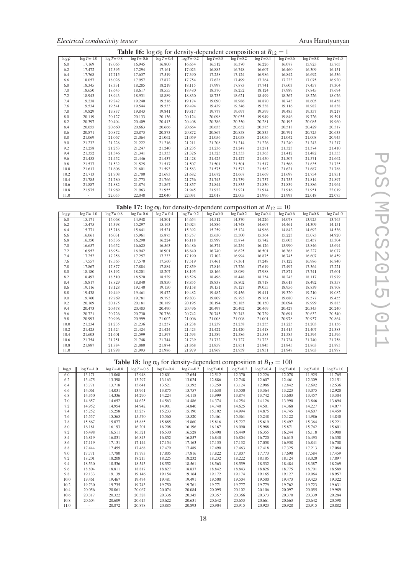|             | <b>Table 16:</b> $\log \sigma_0$ for density-dependent composition at $B_{12} = 1$ |                 |                 |                 |                 |                |                |                |               |                |                |  |  |
|-------------|------------------------------------------------------------------------------------|-----------------|-----------------|-----------------|-----------------|----------------|----------------|----------------|---------------|----------------|----------------|--|--|
| $\log \rho$ | $\log T = -1.0$                                                                    | $\log T = -0.8$ | $\log T = -0.6$ | $\log T = -0.4$ | $\log T = -0.2$ | $\log T = 0.0$ | $\log T = 0.2$ | $\log T = 0.4$ | $log T = 0.6$ | $\log T = 0.8$ | $\log T = 1.0$ |  |  |
| 6.0         | 17.169                                                                             | 17.065          | 16.945          | 16.800          | 16.654          | 16.512         | 16.370         | 16.226         | 16.078        | 15.925         | 15.765         |  |  |
| 6.2         | 17.472                                                                             | 17.395          | 17.294          | 17.161          | 17.023          | 16.885         | 16.748         | 16.607         | 16.460        | 16.309         | 16.151         |  |  |
| 6.4         | 17.768                                                                             | 17.715          | 17.637          | 17.519          | 17.390          | 17.258         | 17.124         | 16.986         | 16.842        | 16.692         | 16.536         |  |  |
| 6.6         | 18.057                                                                             | 18.026          | 17.957          | 17.872          | 17.754          | 17.628         | 17.499         | 17.364         | 17.223        | 17.075         | 16.920         |  |  |
| 6.8         | 18.345                                                                             | 18.331          | 18.285          | 18.219          | 18.115          | 17.997         | 17.873         | 17.741         | 17.603        | 17.457         | 17.304         |  |  |
| 7.0         | 18.650                                                                             | 18.645          | 18.617          | 18.555          | 18.480          | 18.370         | 18.252         | 18.124         | 17.989        | 17.845         | 17.694         |  |  |
| 7.2         | 18.943                                                                             | 18.943          | 18.931          | 18.889          | 18.830          | 18.733         | 18.621         | 18.499         | 18.367        | 18.226         | 18.076         |  |  |
| 7.4         | 19.238                                                                             | 19.242          | 19.240          | 19.216          | 19.174          | 19.090         | 18.986         | 18.870         | 18.743        | 18.605         | 18.458         |  |  |
| 7.6         | 19.534                                                                             | 19.541          | 19.544          | 19.533          | 19.494          | 19.439         | 19.346         | 19.238         | 19.116        | 18.982         | 18.838         |  |  |
| 7.8         | 19.829                                                                             | 19.837          | 19.843          | 19.841          | 19.817          | 19.777         | 19.697         | 19.599         | 19.485        | 19.357         | 19.217         |  |  |
| 8.0         | 20.119                                                                             | 20.127          | 20.133          | 20.136          | 20.124          | 20.098         | 20.035         | 19.949         | 19.846        | 19.726         | 19.591         |  |  |
| 8.2         | 20.397                                                                             | 20.404          | 20.409          | 20.413          | 20.408          | 20.386         | 20.350         | 20.281         | 20.193        | 20.085         | 19.960         |  |  |
| 8.4         | 20.655                                                                             | 20.660          | 20.663          | 20.666          | 20.664          | 20.653         | 20.632         | 20.585         | 20.518        | 20.429         | 20.317         |  |  |
| 8.6         | 20.871                                                                             | 20.872          | 20.873          | 20.873          | 20.872          | 20.867         | 20.858         | 20.835         | 20.791        | 20.725         | 20.633         |  |  |
| 8.8         | 21.069                                                                             | 21.067          | 21.064          | 21.062          | 21.059          | 21.056         | 21.058         | 21.056         | 21.042        | 21.008         | 20.945         |  |  |
| 9.0         | 21.232                                                                             | 21.228          | 21.222          | 21.216          | 21.211          | 21.208         | 21.214         | 21.226         | 21.240        | 21.243         | 21.217         |  |  |
| 9.2         | 21.258                                                                             | 21.253          | 21.247          | 21.240          | 21.235          | 21.236         | 21.247         | 21.281         | 21.323        | 21.374         | 21.410         |  |  |
| 9.4         | 21.352                                                                             | 21.346          | 21.341          | 21.333          | 21.326          | 21.325         | 21.333         | 21.363         | 21.412        | 21.482         | 21.553         |  |  |
| 9.6         | 21.458                                                                             | 21.452          | 21.446          | 21.437          | 21.428          | 21.425         | 21.427         | 21.450         | 21.507        | 21.571         | 21.662         |  |  |
| 9.8         | 21.537                                                                             | 21.532          | 21.525          | 21.517          | 21.507          | 21.501         | 21.501         | 21.517         | 21.566        | 21.635         | 21.735         |  |  |
| 10.0        | 21.613                                                                             | 21.608          | 21.601          | 21.593          | 21.583          | 21.575         | 21.573         | 21.582         | 21.621        | 21.687         | 21.788         |  |  |
| 10.2        | 21.713                                                                             | 21.708          | 21.700          | 21.693          | 21.682          | 21.672         | 21.667         | 21.669         | 21.697        | 21.754         | 21.851         |  |  |
| 10.4        | 21.785                                                                             | 21.780          | 21.773          | 21.766          | 21.756          | 21.745         | 21.739         | 21.737         | 21.755        | 21.814         | 21.897         |  |  |
| 10.6        | 21.887                                                                             | 21.882          | 21.874          | 21.867          | 21.857          | 21.844         | 21.835         | 21.830         | 21.839        | 21.886         | 21.964         |  |  |
| 10.8        | 21.975                                                                             | 21.969          | 21.963          | 21.955          | 21.945          | 21.932         | 21.921         | 21.914         | 21.916        | 21.951         | 22.019         |  |  |
| 11.0        |                                                                                    | 22.055          | 22.048          | 22,040          | 22.031          | 22.018         | 22.005         | 21.996         | 21.993        | 22.018         | 22,075         |  |  |

| <b>Table 17:</b> $\log \sigma_0$ for density-dependent composition at $B_{12} = 10$ |  |
|-------------------------------------------------------------------------------------|--|
|-------------------------------------------------------------------------------------|--|

| $\log \rho$ | $\log T = -1.0$ | $\log T = 0.8$ | $\log T = -0.6$ | $\log T = -0.4$ | $\log T = -0.2$ | $log T = 0.0$ | $\log T = 0.2$ | $log T = 0.4$ | $\log T = 0.6$ | $\log T = 0.8$ | $log T = 1.0$ |
|-------------|-----------------|----------------|-----------------|-----------------|-----------------|---------------|----------------|---------------|----------------|----------------|---------------|
| 6.0         | 15.171          | 15.068         | 14.948          | 14.801          | 14.654          | 14.512        | 14.370         | 14.226        | 14.078         | 13.925         | 13.765        |
| 6.2         | 15.475          | 15.398         | 15.297          | 15.163          | 15.024          | 14.886        | 14.748         | 14.607        | 14.461         | 14.309         | 14.151        |
| 6.4         | 15.771          | 15.718         | 15.641          | 15.521          | 15.392          | 15.259        | 15.124         | 14.986        | 14.842         | 14.692         | 14.536        |
| 6.6         | 16.061          | 16.031         | 15.961          | 15.875          | 15.757          | 15.630        | 15.500         | 15.364        | 15.223         | 15.075         | 14.920        |
| 6.8         | 16.350          | 16.336         | 16.290          | 16.224          | 16.118          | 15.999        | 15.874         | 15.742        | 15.603         | 15.457         | 15.304        |
| 7.0         | 16.657          | 16.652         | 16.625          | 16.563          | 16.486          | 16.374        | 16.254         | 16.126        | 15.990         | 15.846         | 15.694        |
| 7.2         | 16.952          | 16.954         | 16.942          | 16.901          | 16.840          | 16.740        | 16.625         | 16.501        | 16.368         | 16.227         | 16.077        |
| 7.4         | 17.252          | 17.258         | 17.257          | 17.233          | 17.190          | 17.102        | 16.994         | 16.875        | 16.745         | 16.607         | 16.459        |
| 7.6         | 17.557          | 17.565         | 17.570          | 17.560          | 17.519          | 17.461        | 17.361         | 17.248        | 17.122         | 16.986         | 16.840        |
| 7.8         | 17.867          | 17.877         | 17.884          | 17.884          | 17.859          | 17.816        | 17.726         | 17.619        | 17.497         | 17.364         | 17.221        |
| 8.0         | 18.180          | 18.192         | 18.201          | 18.207          | 18.195          | 18.166        | 18.089         | 17.988        | 17.871         | 17.741         | 17.601        |
| 8.2         | 18.497          | 18.510         | 18.520          | 18.529          | 18.526          | 18.496        | 18.448         | 18.354        | 18.243         | 18.117         | 17.979        |
| 8.4         | 18.817          | 18.829         | 18.840          | 18.850          | 18.855          | 18.838        | 18.802         | 18.718        | 18.613         | 18.492         | 18.357        |
| 8.6         | 19.116          | 19.128         | 19.140          | 19.150          | 19.158          | 19.151        | 19.127         | 19.055        | 18.956         | 18.839         | 18.708        |
| 8.8         | 19.438          | 19.449         | 19.461          | 19.472          | 19.482          | 19.482        | 19.456         | 19.411        | 19.320         | 19.210         | 19.082        |
| 9.0         | 19.760          | 19.769         | 19.781          | 19.793          | 19.803          | 19.809        | 19.793         | 19.761        | 19.680         | 19.577         | 19.455        |
| 9.2         | 20.169          | 20.175         | 20.181          | 20.189          | 20.195          | 20.194        | 20.185         | 20.150        | 20.094         | 19.999         | 19.883        |
| 9.4         | 20.473          | 20.478         | 20.483          | 20.490          | 20.496          | 20.497        | 20.492         | 20.469        | 20.427         | 20.345         | 20.240        |
| 9.6         | 20.721          | 20.726         | 20.730          | 20.736          | 20.742          | 20.745        | 20.743         | 20.729        | 20.691         | 20.632         | 20.540        |
| 9.8         | 20.993          | 20.996         | 20.999          | 21.002          | 21.006          | 21.008        | 21.008         | 21.001        | 20.978         | 20.937         | 20.864        |
| 10.0        | 21.234          | 21.235         | 21.236          | 21.237          | 21.238          | 21.239        | 21.238         | 21.235        | 21.225         | 21.203         | 21.156        |
| 10.2        | 21.425          | 21.424         | 21.424          | 21.424          | 21.423          | 21.422        | 21.420         | 21.418        | 21.415         | 21.407         | 21.383        |
| 10.4        | 21.603          | 21.601         | 21.599          | 21.597          | 21.593          | 21.589        | 21.586         | 21.583        | 21.585         | 21.594         | 21.596        |
| 10.6        | 21.754          | 21.751         | 21.748          | 21.744          | 21.739          | 21.732        | 21.727         | 21.723        | 21.724         | 21.740         | 21.758        |
| 10.8        | 21.887          | 21.884         | 21.880          | 21.874          | 21.868          | 21.859        | 21.851         | 21.845        | 21.845         | 21.863         | 21.893        |
| 11.0        |                 | 21.998         | 21.993          | 21.986          | 21.979          | 21.969        | 21.959         | 21.951        | 21.947         | 21.963         | 21.997        |

Table 18:  $\log \sigma_0$  for density-dependent composition at  $B_{12} = 100$ 

| $\log \rho$ | $\log T = -1.0$ | $log T = -0.8$ | $\log T = -0.6$ | $\log T = -0.4$ | $\log T = -0.2$ | $log T = 0.0$ | $\log T = 0.2$ | $\log T = 0.4$ | $log T = 0.6$ | $log T = 0.8$ | $\log T = 1.0$ |
|-------------|-----------------|----------------|-----------------|-----------------|-----------------|---------------|----------------|----------------|---------------|---------------|----------------|
| 6.0         | 13.171          | 13.068         | 12.948          | 12.801          | 12.654          | 12.512        | 12.370         | 12.226         | 12.078        | 11.925        | 11.765         |
| 6.2         | 13.475          | 13.398         | 13.297          | 13.163          | 13.024          | 12.886        | 12.748         | 12.607         | 12.461        | 12.309        | 12.151         |
| 6.4         | 13.771          | 13.718         | 13.641          | 13.521          | 13.392          | 13.259        | 13.124         | 12.986         | 12.842        | 12.692        | 12.536         |
| 6.6         | 14.061          | 14.031         | 13.961          | 13.875          | 13.757          | 13.630        | 13.500         | 13.364         | 13.223        | 13.075        | 12.920         |
| 6.8         | 14.350          | 14.336         | 14.290          | 14.224          | 14.118          | 13.999        | 13.874         | 13.742         | 13.603        | 13.457        | 13.304         |
| 7.0         | 14.657          | 14.652         | 14.625          | 14.563          | 14.486          | 14.374        | 14.254         | 14.126         | 13.990        | 13.846        | 13.694         |
| 7.2         | 14.952          | 14.954         | 14.942          | 14.901          | 14.840          | 14.740        | 14.625         | 14.501         | 14.368        | 14.227        | 14.077         |
| 7.4         | 15.252          | 15.258         | 15.257          | 15.233          | 15.190          | 15.102        | 14.994         | 14.875         | 14.745        | 14.607        | 14.459         |
| 7.6         | 15.557          | 15.565         | 15.570          | 15.560          | 15.520          | 15.461        | 15.361         | 15.248         | 15.122        | 14.986        | 14.840         |
| 7.8         | 15.867          | 15.877         | 15.885          | 15.885          | 15.860          | 15.816        | 15.727         | 15.619         | 15.497        | 15.364        | 15.221         |
| 8.0         | 16.181          | 16.193         | 16.201          | 16.208          | 16.196          | 16.167        | 16.090         | 15.988         | 15.871        | 15.742        | 15.601         |
| 8.2         | 16.498          | 16.511         | 16.521          | 16.530          | 16.528          | 16.498        | 16.449         | 16.355         | 16.244        | 16.118        | 15.980         |
| 8.4         | 16.819          | 16.831         | 16.843          | 16.852          | 16.857          | 16.840        | 16.804         | 16.720         | 16.615        | 16.493        | 16.358         |
| 8.6         | 17.119          | 17.131         | 17.144          | 17.154          | 17.163          | 17.155        | 17.132         | 17.058         | 16.958        | 16.841        | 16.708         |
| 8.8         | 17.444          | 17.455         | 17.468          | 17.479          | 17.489          | 17.490        | 17.463         | 17.418         | 17.325        | 17.213        | 17.084         |
| 9.0         | 17.771          | 17.780         | 17.793          | 17.805          | 17.816          | 17.822        | 17.807         | 17.773         | 17.690        | 17.584        | 17.459         |
| 9.2         | 18.201          | 18.208         | 18.215          | 18.225          | 18.232          | 18.232        | 18.222         | 18.185         | 18.124        | 18.020        | 17.897         |
| 9.4         | 18.530          | 18.536         | 18.543          | 18.552          | 18.561          | 18.563        | 18.559         | 18.532         | 18.484        | 18.387        | 18.269         |
| 9.6         | 18.804          | 18.811         | 18.817          | 18.827          | 18.837          | 18.842        | 18.843         | 18.826         | 18.775        | 18.701        | 18.589         |
| 9.8         | 19.133          | 19.139         | 19.146          | 19.154          | 19.164          | 19.172        | 19.174         | 19.165         | 19.127        | 19.064        | 18.957         |
| 10.0        | 19.461          | 19.467         | 19.474          | 19.481          | 19.491          | 19.500        | 19.504         | 19.500         | 19.473        | 19.423        | 19.322         |
| 10.2        | 19.730          | 19.735         | 19.743          | 19.750          | 19.761          | 19.771        | 19.777         | 19.779         | 19.762        | 19.723        | 19.631         |
| 10.4        | 20.056          | 20.061         | 20.067          | 20.074          | 20.084          | 20.095        | 20.102         | 20.106         | 20.097        | 20.055        | 19.989         |
| 10.6        | 20.317          | 20.322         | 20.328          | 20.336          | 20.345          | 20.357        | 20.366         | 20.373         | 20.370        | 20.339        | 20.284         |
| 10.8        | 20.604          | 20.609         | 20.615          | 20.622          | 20.631          | 20.642        | 20.653         | 20.661         | 20.663        | 20.642        | 20.598         |
| 11.0        |                 | 20.872         | 20.878          | 20.885          | 20.893          | 20.904        | 20.915         | 20.923         | 20.928        | 20.915        | 20.882         |